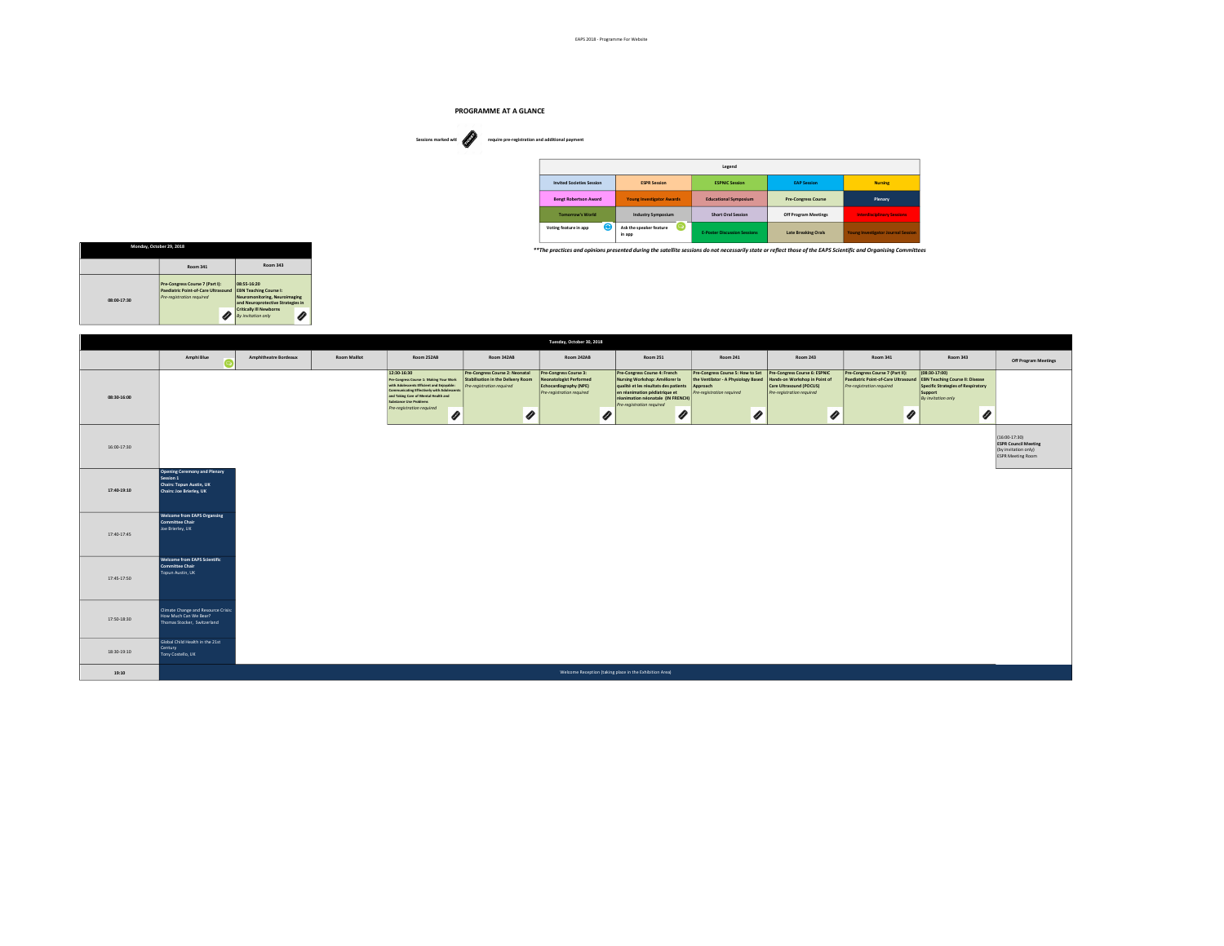

| Sessions marked wit<br>require pre-registration and additional payment<br>Ø<br>$\begin{array}{cccccccccccccc} \circ & \circ & \circ & \circ & \circ & \circ & \circ \end{array}$ |                                  |                                   |                                     |                      |                                           |
|----------------------------------------------------------------------------------------------------------------------------------------------------------------------------------|----------------------------------|-----------------------------------|-------------------------------------|----------------------|-------------------------------------------|
|                                                                                                                                                                                  |                                  |                                   | Legend                              |                      |                                           |
|                                                                                                                                                                                  | <b>Invited Societies Session</b> | <b>ESPR Session</b>               | <b>ESPNIC Session</b>               | <b>EAP Session</b>   | <b>Nursing</b>                            |
|                                                                                                                                                                                  | <b>Bengt Robertson Award</b>     | Young Investigator Awards         | <b>Educational Symposium</b>        | Pre-Congress Course  | Plenary                                   |
|                                                                                                                                                                                  | <b>Tomorrow's World</b>          | <b>Industry Symposium</b>         | <b>Short Oral Session</b>           | Off Program Meetings | <b>Interdisciplinary Sessions</b>         |
|                                                                                                                                                                                  | ⊝<br>Voting feature in app       | Ask the speaker feature<br>in app | <b>E-Poster Discussion Sessions</b> | Late Breaking Orals  | <b>Young Investigator Journal Session</b> |

\*\*The practices and opinions presented during the satellite sessions do not necessarily state or reflect those of the EAPS Scientific and Organising Committees

| Monday, October 29, 2018 |                                                                                                     |                                                                                                                    |
|--------------------------|-----------------------------------------------------------------------------------------------------|--------------------------------------------------------------------------------------------------------------------|
|                          | Room 341                                                                                            | Room 343                                                                                                           |
| 08:00-17:30              | Pre-Congress Course 7 (Part I):<br>Paediatric Point-of-Care Ultrasound<br>Pre-reaistration required | 08-55-16-20<br><b>EBN Teaching Course I:</b><br>Neuromonitoring, Neuroimaging<br>and Neuroprotective Strategies in |
|                          |                                                                                                     | <b>Critically Ill Newborns</b><br>Ø<br>By invitation only                                                          |

|             |                                                                                                   |                              |                     |                                                                                                                                                                                                                                                                      |                                                                                                                    | Tuesday, October 30, 2018                                                                                       |                                                                                                                                                                                                                       |                                                                                                                                                              |                                                                                                       |                                                                                                                   |                                                                                                                                                  |                                                                                                  |
|-------------|---------------------------------------------------------------------------------------------------|------------------------------|---------------------|----------------------------------------------------------------------------------------------------------------------------------------------------------------------------------------------------------------------------------------------------------------------|--------------------------------------------------------------------------------------------------------------------|-----------------------------------------------------------------------------------------------------------------|-----------------------------------------------------------------------------------------------------------------------------------------------------------------------------------------------------------------------|--------------------------------------------------------------------------------------------------------------------------------------------------------------|-------------------------------------------------------------------------------------------------------|-------------------------------------------------------------------------------------------------------------------|--------------------------------------------------------------------------------------------------------------------------------------------------|--------------------------------------------------------------------------------------------------|
|             | Amphi Blue<br><b>(</b> ല                                                                          | <b>Amphitheatre Bordeaux</b> | <b>Room Maillot</b> | Room 252AB                                                                                                                                                                                                                                                           | Room 342AB                                                                                                         | Room 242AB                                                                                                      | Room 251                                                                                                                                                                                                              | <b>Room 241</b>                                                                                                                                              | Room 243                                                                                              | Room 341                                                                                                          | <b>Room 343</b>                                                                                                                                  | Off Program Meetings                                                                             |
| 08:30-16:00 |                                                                                                   |                              |                     | 12:30-16:30<br>Pre-Congress Course 1: Making Your Work<br>with Adolescents Efficient and Enjoyable:<br>Communicating Effectively with Adolescents<br>and Taking Care of Mental Health and<br><b>Substance Use Problems</b><br>Pre-registration required<br>$\bullet$ | Pre-Congress Course 2: Neonatal<br>Stabilisation in the Delivery Room<br>Pre-registration required<br>$\mathcal O$ | Pre-Congress Course 3:<br><b>Neonatologist Performed</b><br>Echocardiography (NPE)<br>Pre-registration required | Pre-Congress Course 4: French<br>Nursing Workshop: Améliorer la<br>qualité et les résultats des patients<br>en réanimation pédiatrique et<br>réanimation néonatale (IN FRENCH)<br>Pre-registration required<br>O<br>O | Pre-Congress Course 5: How to Set Pre-Congress Course 6: ESPNIC<br>the Ventilator - A Physiology Based<br>Approach<br>Pre-registration required<br>$\bullet$ | Hands-on Workshop in Point of<br>Care Ultrasound (POCUS)<br>Pre-registration required<br>$\mathcal O$ | Pre-Congress Course 7 (Part II):<br>Paediatric Point-of-Care Ultrasound<br>Pre-registration required<br>$\bullet$ | $(08:30-17:00)$<br><b>EBN Teaching Course II: Disease</b><br>Specific Strategies of Respiratory<br>Support<br>By invitation only<br>$\mathcal O$ |                                                                                                  |
| 16:00-17:30 |                                                                                                   |                              |                     |                                                                                                                                                                                                                                                                      |                                                                                                                    |                                                                                                                 |                                                                                                                                                                                                                       |                                                                                                                                                              |                                                                                                       |                                                                                                                   |                                                                                                                                                  | (16:00-17:30)<br><b>ESPR Council Meeting</b><br>(by invitation only)<br><b>ESPR Meeting Room</b> |
| 17:40-19:10 | Opening Ceremony and Plenary<br>Session 1<br>Chairs: Topun Austin, UK<br>Chairs: Joe Brierley, UK |                              |                     |                                                                                                                                                                                                                                                                      |                                                                                                                    |                                                                                                                 |                                                                                                                                                                                                                       |                                                                                                                                                              |                                                                                                       |                                                                                                                   |                                                                                                                                                  |                                                                                                  |
| 17:40-17:45 | <b>Welcome from EAPS Organsing</b><br>Committee Chair<br>Joe Brierley, UK                         |                              |                     |                                                                                                                                                                                                                                                                      |                                                                                                                    |                                                                                                                 |                                                                                                                                                                                                                       |                                                                                                                                                              |                                                                                                       |                                                                                                                   |                                                                                                                                                  |                                                                                                  |
| 17:45-17:50 | <b>Welcome from EAPS Scientific</b><br>Committee Chair<br>Topun Austin, UK                        |                              |                     |                                                                                                                                                                                                                                                                      |                                                                                                                    |                                                                                                                 |                                                                                                                                                                                                                       |                                                                                                                                                              |                                                                                                       |                                                                                                                   |                                                                                                                                                  |                                                                                                  |
| 17:50-18:30 | Climate Change and Resource Crisis:<br>How Much Can We Bear?<br>Thomas Stocker, Switzerland       |                              |                     |                                                                                                                                                                                                                                                                      |                                                                                                                    |                                                                                                                 |                                                                                                                                                                                                                       |                                                                                                                                                              |                                                                                                       |                                                                                                                   |                                                                                                                                                  |                                                                                                  |
| 18:30-19:10 | Global Child Health in the 21st<br>Century<br>Tony Costello, UK                                   |                              |                     |                                                                                                                                                                                                                                                                      |                                                                                                                    |                                                                                                                 |                                                                                                                                                                                                                       |                                                                                                                                                              |                                                                                                       |                                                                                                                   |                                                                                                                                                  |                                                                                                  |
| 19:10       |                                                                                                   |                              |                     |                                                                                                                                                                                                                                                                      |                                                                                                                    |                                                                                                                 | Welcome Reception (taking place in the Exhibition Area)                                                                                                                                                               |                                                                                                                                                              |                                                                                                       |                                                                                                                   |                                                                                                                                                  |                                                                                                  |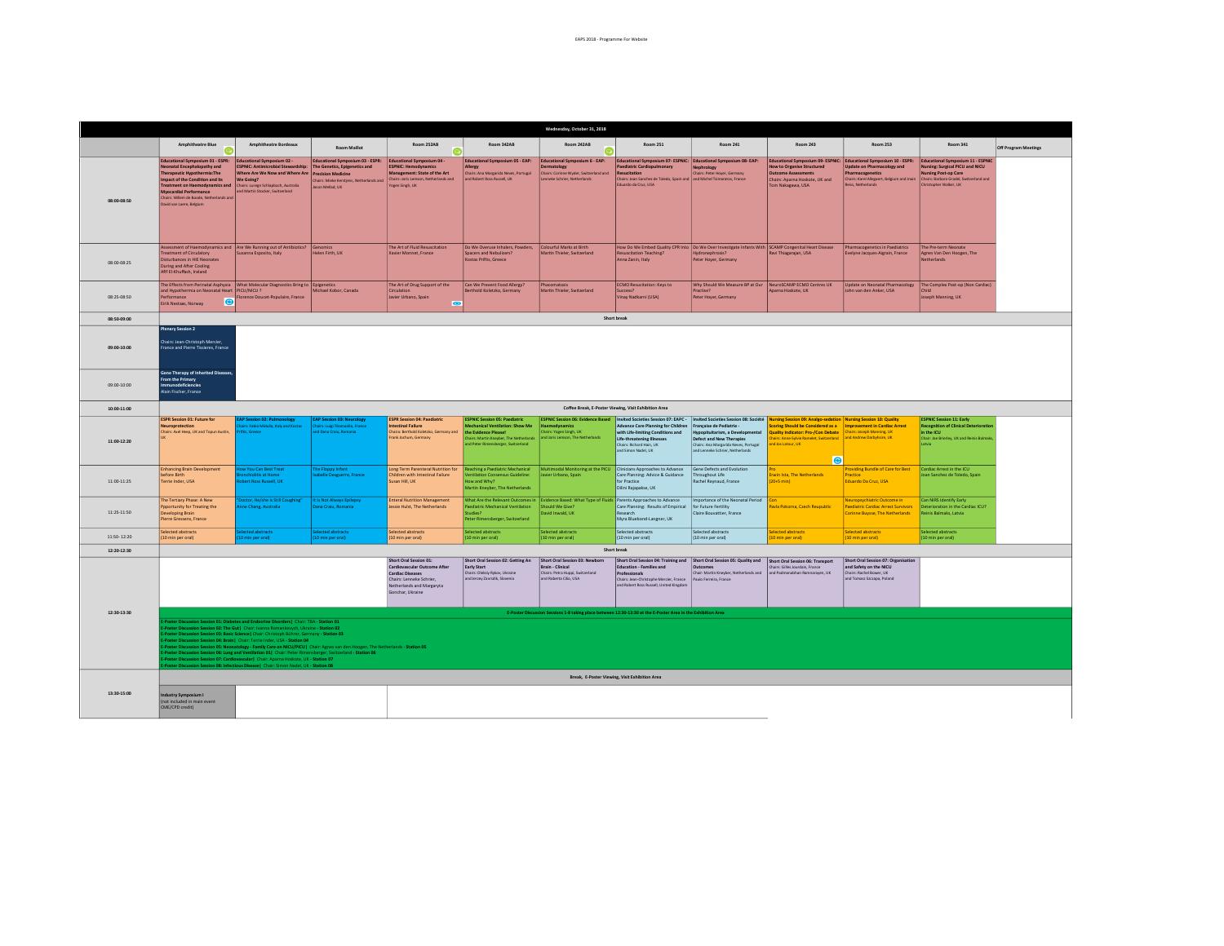|                 | Wednesday, October 31, 2018                                                                                                                                                                                                                                                                                                                                                                                                                                                                                                                                                                                                                                                                                                                                                                         |                                                                                                                                                                                                                             |                                                                                                                                                              |                                                                                                                                                                      |                                                                                                                                                                                  |                                                                                                                                            |                                                                                                                                                                                                                   |                                                                                                                                                                         |                                                                                                                                             |                                                                                                                         |                                                                                                                                                                                                                                                                                 |                      |  |
|-----------------|-----------------------------------------------------------------------------------------------------------------------------------------------------------------------------------------------------------------------------------------------------------------------------------------------------------------------------------------------------------------------------------------------------------------------------------------------------------------------------------------------------------------------------------------------------------------------------------------------------------------------------------------------------------------------------------------------------------------------------------------------------------------------------------------------------|-----------------------------------------------------------------------------------------------------------------------------------------------------------------------------------------------------------------------------|--------------------------------------------------------------------------------------------------------------------------------------------------------------|----------------------------------------------------------------------------------------------------------------------------------------------------------------------|----------------------------------------------------------------------------------------------------------------------------------------------------------------------------------|--------------------------------------------------------------------------------------------------------------------------------------------|-------------------------------------------------------------------------------------------------------------------------------------------------------------------------------------------------------------------|-------------------------------------------------------------------------------------------------------------------------------------------------------------------------|---------------------------------------------------------------------------------------------------------------------------------------------|-------------------------------------------------------------------------------------------------------------------------|---------------------------------------------------------------------------------------------------------------------------------------------------------------------------------------------------------------------------------------------------------------------------------|----------------------|--|
|                 | <b>Amphitheatre Blue</b>                                                                                                                                                                                                                                                                                                                                                                                                                                                                                                                                                                                                                                                                                                                                                                            | <b>Amphitheatre Bordeaux</b>                                                                                                                                                                                                | <b>Room Maillot</b>                                                                                                                                          | <b>Room 252AR</b>                                                                                                                                                    | <b>Room 342AR</b>                                                                                                                                                                | Room 242AR                                                                                                                                 | <b>Room 251</b>                                                                                                                                                                                                   | Room 241                                                                                                                                                                | Room 243                                                                                                                                    | Room 253                                                                                                                | Room 341                                                                                                                                                                                                                                                                        | Off Program Meetings |  |
| 08:00-08:50     | Educational Symposium 01 - ESPR:<br>Neonatal Encephalopathy and<br>Therapeutic Hypothermia:The<br>Impact of the Condition and its<br><b>Treatment on Haemodynamics and</b><br>Myocardial Performance<br>Chairs: Willem de Boode, Netherlands and<br>David van Laere, Belgium                                                                                                                                                                                                                                                                                                                                                                                                                                                                                                                        | <b>Educational Symposium 02 -</b><br><b>ESPNIC: Antimicrobial Stewardship:</b><br>Where Are We Now and Where Are Precision Medicine<br>We Going?<br>Chairs: Lureen Schlapbach, Australia<br>and Martin Stocker, Switzerland | Educational Symposium 03 - ESPR: Educational Symposium 04 -<br>The Genetics, Epigenetics and<br>Chairs: Mieke Kerstjens, Netherlands and<br>Jason Mellad, UK | <b>ESPNIC: Hemodynamics</b><br>Management: State of the Art<br>Chairs: Joris Lemson, Netherlands and<br>ozen Singh, UK                                               | <b>Educational Symposium 05 - EAP:</b><br><b>Allergy</b><br>Chairs: Ana Margarida Neves, Portugal<br>and Robert Ross Russell, UK                                                 | <b>Educational Symposium 6 - EAP:</b><br>matology<br>hairs: Corinne Wyder, Switzerland and<br>enneke Schrier, Netherlands                  | Educational Symposium 07- ESPNIC: Educational Symposium 08- EAP:<br>Paediatric Cardiopulmonary<br>Resucitation<br>Chairs: Joan Sanchez de Toledo, Spain and and Michel Tsimaratos, France<br>Eduardo da Cruz, USA | <b>Nephrology</b><br>Chairs: Peter Hover, Germany                                                                                                                       | <b>How to Organise Structured</b><br><b>Outcome Assessments</b><br>Chairs: Anarna Hoskote, UK and<br>Tom Nakazawa, USA                      | Update on Pharmacology and<br>Pharmacogenetics<br>aiss, Netherlands                                                     | Educational Symposium 09-ESPNIC: Educational Symposium 10 - ESPR: Educational Symposium 11 - ESPNIC<br>Nursing: Surgical PICU and NICU<br>Nursing Post-op Care<br>Chairs: Karel Allegaert, Belgium and Irwin   Chairs: Barbara Gradel, Switzerland and<br>Infstopher Walker, UK |                      |  |
| 08:00-08:25     | <b>Treatment of Circulatory</b><br><b>Disturbances in HIE Neonates</b><br>During and After Cooling<br>Afif El-Khuffash, Ireland                                                                                                                                                                                                                                                                                                                                                                                                                                                                                                                                                                                                                                                                     | Assessment of Haemodynamics and Are We Running out of Antibiotics? Genomics<br>Susanna Esposito, Italy                                                                                                                      | Helen Firth, UK                                                                                                                                              | The Art of Fluid Resuscitation<br>Kavier Monnet, France                                                                                                              | Do We Overuse Inhalers, Powders,<br><b>Spacers and Nebulizers?</b><br>Kostas Priftis, Greece                                                                                     | Colourful Marks at Birth<br>Martin Thieler, Switzerland                                                                                    | <b>Resuscitation Teaching?</b><br>Anna Zanin, Italy                                                                                                                                                               | How Do We Embed Quality CPR Into Do We Over Investigate Infants With SCAMP Congenital Heart Disease<br>Hydronephrosis?<br>Peter Hoyer, Germany                          | Ravi Thiagarajan, USA                                                                                                                       | Pharmacogenetics in Paediatrics<br>Evelyne Jacques-Algrain, France                                                      | The Pre-term Neonate<br>Agnes Van Den Hoogen, The<br>Netherlands                                                                                                                                                                                                                |                      |  |
| 08:25-08:50     | The Effects from Perinatal Asphyxia   What Molecular Diagnostics Bring to Epigenetics<br>and Hypothermia on Neonatal Heart PICU/NICU ?<br>Performance<br>ൈ<br>Eirik Nestaas, Norway                                                                                                                                                                                                                                                                                                                                                                                                                                                                                                                                                                                                                 | orence Doucet-Populaire, France                                                                                                                                                                                             | Michael Kobor, Canada                                                                                                                                        | The Art of Drug Support of the<br><b>Circulation</b><br>avier Urbano, Spain<br>G                                                                                     | Can We Prevent Food Allergy?<br>Berthold Koletzko, Germany                                                                                                                       | Phacomatosis<br>Martin Thieler, Switzerland                                                                                                | <b>ECMO Resucitation: Keys to</b><br>Success?<br>Vinav Nadkarni (USA)                                                                                                                                             | Why Should We Measure BP at Our NeuroSCAMP ECMO Centres UK<br>Practise?<br>Peter Hoyer, Germany                                                                         | Aparna Hoskote, UK                                                                                                                          | John van den Anker, USA                                                                                                 | Update on Neonatal Pharmacology   The Complex Post-op (Non Cardiac)<br><b>Child</b><br>Joseph Manning, UK                                                                                                                                                                       |                      |  |
| 08:50-09:00     |                                                                                                                                                                                                                                                                                                                                                                                                                                                                                                                                                                                                                                                                                                                                                                                                     |                                                                                                                                                                                                                             |                                                                                                                                                              |                                                                                                                                                                      |                                                                                                                                                                                  |                                                                                                                                            | Short break                                                                                                                                                                                                       |                                                                                                                                                                         |                                                                                                                                             |                                                                                                                         |                                                                                                                                                                                                                                                                                 |                      |  |
| 09:00-10:00     | <b>Plenary Session 2</b><br>Chairs: Jean-Christoph Mercier.<br><b>France and Pierre Tissieres, France</b><br><b>Gene Therapy of Inherited Diseases</b>                                                                                                                                                                                                                                                                                                                                                                                                                                                                                                                                                                                                                                              |                                                                                                                                                                                                                             |                                                                                                                                                              |                                                                                                                                                                      |                                                                                                                                                                                  |                                                                                                                                            |                                                                                                                                                                                                                   |                                                                                                                                                                         |                                                                                                                                             |                                                                                                                         |                                                                                                                                                                                                                                                                                 |                      |  |
| 09:00-10:00     | <b>From the Primary</b><br>mmunodeficiencies<br><b>Vain Fischer, France</b>                                                                                                                                                                                                                                                                                                                                                                                                                                                                                                                                                                                                                                                                                                                         |                                                                                                                                                                                                                             |                                                                                                                                                              |                                                                                                                                                                      |                                                                                                                                                                                  |                                                                                                                                            |                                                                                                                                                                                                                   |                                                                                                                                                                         |                                                                                                                                             |                                                                                                                         |                                                                                                                                                                                                                                                                                 |                      |  |
| 10:00-11:00     | Coffee Break, E-Poster Viewing, Visit Exhibition Area<br>ESPNIC Session 06: Evidence Based   Invited Societies Session 07: EAPC -   Invited Societies Session 08: Société   Nursing Session 09: Analgo-sedation   Nursing Session 10: Quality                                                                                                                                                                                                                                                                                                                                                                                                                                                                                                                                                       |                                                                                                                                                                                                                             |                                                                                                                                                              |                                                                                                                                                                      |                                                                                                                                                                                  |                                                                                                                                            |                                                                                                                                                                                                                   |                                                                                                                                                                         |                                                                                                                                             |                                                                                                                         |                                                                                                                                                                                                                                                                                 |                      |  |
| 11:00-12:20     | <b>ESPR Session 01: Future for</b><br><i><u><b><u>ieuroprotection</u></b></u></i><br>Chairs: Axel Heep, UK and Topun Austin,                                                                                                                                                                                                                                                                                                                                                                                                                                                                                                                                                                                                                                                                        | AP Session 02: Pulmonology<br>o Midulla, Italy and 8<br><b>Tric Greare</b>                                                                                                                                                  | <b>EAP Session 03: Neurology</b><br>irs: Luigi Titomanlio, Franc<br>of Dana Crain, Romania                                                                   | <b>ESPR Session 04: Paediatric</b><br>ntestinal Failure<br>Thaira: Berthold Koletzko, Germany and<br>rank Jochum, Germany                                            | <b>ESPNIC Session 05: Paediatric</b><br>echanical Ventilation: Show Me<br>the Evidence Please!<br>Chairs: Martin Kneyber, The Netherlands<br>and Peter Rimensberger, Switzerland | aemodynamics<br>hairs: Yogen Singh, UK<br>d Joris Lemson, The Netherlands                                                                  | <b>Advance Care Planning for Children</b><br>with Life-limiting Conditions and<br>Life-threatening Illnesses<br>Chairs: Richard Hain, UK<br>and Simon Nadel, UK                                                   | Française de Pediatrie -<br><b>Hypopituitarism, a Developr</b><br>Defect and New Therapies<br>Chairs: Ana Margarida Neves, Portugal<br>and Lenneke Schrier, Netherlands | coring Should be Considered as a<br>Quality Indicator: Pro-/Con Debate<br>hairs: Anne-Sylvie Ramelet, Switzerland<br>d Jos Latour, UK<br>le | <b>Improvement in Cardiac Arrest</b><br>hairs: Joseph Manning, UK<br>and Andrew Darbyhsire, UK                          | <b>ESPNIC Session 11: Early</b><br><b>Recognition of Clinical Deterioral</b><br>in the ICU<br>Chair: Joe Brierley, UK and Reinis Balmak<br>Latvia                                                                                                                               |                      |  |
| 11:00-11:25     | <b>Enhancing Brain Development</b><br>before Birth<br>Terrie Inder, USA                                                                                                                                                                                                                                                                                                                                                                                                                                                                                                                                                                                                                                                                                                                             | w You Can Best Treat<br>tis at Hom<br>bert Ross Russell, UK                                                                                                                                                                 | The Floppy Infant<br>belle Desguerre, France                                                                                                                 | Long Term Parenteral Nutrition for<br>hildren with Intestinal Failure<br>iusan Hill, UK                                                                              | Reaching a Paediatric Mechanical<br>entilation Consensus Guideline:<br>How and Why?<br>Martin Kneyber, The Netherlands                                                           | Multimodal Monitoring at the PICU Clinicians Approaches to Advance<br>lavier Urbano, Spain                                                 | Care Planning: Advice & Guidance<br>for Practice<br>Dilini Rajapakse, UK                                                                                                                                          | Gene Defects and Evolution<br>hroughout Life<br>Rachel Reynaud, France                                                                                                  | win Ista. The Netherlands<br>$20+5$ min)                                                                                                    | <b>Providing Bundle of Care for Best</b><br>Practice<br>Eduardo Da Cruz, USA                                            | Cardiac Arrest in the ICII<br>pan Sanchez de Toledo, Spain                                                                                                                                                                                                                      |                      |  |
| $11.25 - 11.50$ | The Tertiary Phase: A New<br>Poportunity for Treating the<br>Developing Brain<br>Pierre Gressens, France                                                                                                                                                                                                                                                                                                                                                                                                                                                                                                                                                                                                                                                                                            | loctor, He/she is Still Coughing"<br>ine Chang, Australia                                                                                                                                                                   | It is Not Always Epilepsy<br>ana Craiu, Romania                                                                                                              | Interal Nutrition Management<br>essie Hulst. The Netherlands                                                                                                         | Paediatric Mechanical Ventilation<br>udies?<br>Peter Rimensberger, Switzerland                                                                                                   | What Are the Relevant Outcomes in Puidence Rased: What Type of Fluids Parents Annoyaches to Advance<br>Should We Give?<br>David Inwald, UK | Care Planning: Results of Empirical<br>Research<br>Myra Bluebond-Langner, UK                                                                                                                                      | montance of the Neonatal Period<br>for Future Fertility<br>Claire Bouvattier, France                                                                                    | avia Pokorna, Czech Reupublic                                                                                                               | Neuropsychiatric Outcome in<br><b>Paediatric Cardiac Arrest Survivors</b><br>Corinne Buysse, The Netherlands            | Can NIRS Identify Farly<br>Deterioration in the Cardiac ICU2<br>Reinis Balmaks, Latvia                                                                                                                                                                                          |                      |  |
| 11:50-12:20     | Selected abstracts<br>(10 min ner oral)                                                                                                                                                                                                                                                                                                                                                                                                                                                                                                                                                                                                                                                                                                                                                             | ected abstracts<br>(Isso second)                                                                                                                                                                                            | Selected abstracts<br>(10 min per oral)                                                                                                                      | ielected abstracts<br>(10 min per oral)                                                                                                                              | Selected abstracts<br>(10 min ner oral)                                                                                                                                          | Selected abstracts<br>(10 min ner oral)                                                                                                    | Selected abstracts<br>(10 min ner oral)                                                                                                                                                                           | Selected abstracts<br>(10 min per oral)                                                                                                                                 | Selected abstracts<br>0 min per oral)                                                                                                       | Selected abstracts<br>10 min per orall                                                                                  | Selected abstracts<br>(10 min ner oral)                                                                                                                                                                                                                                         |                      |  |
| 12:20-12:30     |                                                                                                                                                                                                                                                                                                                                                                                                                                                                                                                                                                                                                                                                                                                                                                                                     |                                                                                                                                                                                                                             |                                                                                                                                                              |                                                                                                                                                                      |                                                                                                                                                                                  |                                                                                                                                            | Short break                                                                                                                                                                                                       |                                                                                                                                                                         |                                                                                                                                             |                                                                                                                         |                                                                                                                                                                                                                                                                                 |                      |  |
|                 |                                                                                                                                                                                                                                                                                                                                                                                                                                                                                                                                                                                                                                                                                                                                                                                                     |                                                                                                                                                                                                                             |                                                                                                                                                              | Short Oral Session 01:<br>Cardiovascular Outcome After<br><b>Cardiac Diseases</b><br>Chairs: Leoneke Schrier<br><b>Vetherlands and Margaryta</b><br>Sonchar, Ukraine | Short Oral Session 02: Getting An<br>Early Start<br>Chairs: Oleksiy Rykov, Ukraine<br>and Jerzey Zavrsdik, Slovenia                                                              | Short Oral Session 03: Newborn<br>Brain - Clinical<br>Chairs: Petra Huppi, Switzerland<br>and Roberta Cilio, USA                           | <b>Education - Families and</b><br>Professionals<br>Chairs: Jean-Christophe Mercier, France<br>and Robert Ross Russell, United Kingdom                                                                            | Short Oral Session 04: Training and Short Oral Session 05: Quality and<br><b>Outcomes</b><br>Chair: Martin Kneyber, Netherlands and<br>Paulo Ferreira, France           | Short Oral Session 06: Transport<br>.<br>Chairs: Gilles Jourdain, France<br>nd Padmanabhan Ramnarawan, UK                                   | Short Oral Session 07: Organisation<br>and Safety on the NICU<br>Chairs: Rachel Bower, UK<br>and Tomasz Szczapa, Poland |                                                                                                                                                                                                                                                                                 |                      |  |
| 12:30-13:30     |                                                                                                                                                                                                                                                                                                                                                                                                                                                                                                                                                                                                                                                                                                                                                                                                     |                                                                                                                                                                                                                             |                                                                                                                                                              |                                                                                                                                                                      |                                                                                                                                                                                  | E-Poster Discussion Sessions 1-8 taking place between 12:30-13:30 at the E-Poster Area in the Exhibition Area                              |                                                                                                                                                                                                                   |                                                                                                                                                                         |                                                                                                                                             |                                                                                                                         |                                                                                                                                                                                                                                                                                 |                      |  |
|                 | Poster Discussion Session 01: Diabetes and Endocrine Disorders  Chair: TBA - Station 01<br>Poster Discussion Session 02: The Gut  Chair: Ivanna Romankevych, Ukraine - Station 02<br>Poster Discussion Session 03: Basic Science   Chair: Christoph Bührer, Germany - Station 03<br>oster Discussion Session 04: Brain   Chair: Terrie Inder, USA - Station 04<br>Poster Discussion Session 05: Neonatology - Family Care on NICU/PICUI Chair: Agnes van den Hoogen. The Netherlands - Station 05<br>Poster Discussion Session 06: Lung and Ventilation 01   Chair: Peter Rimensberger, Switzerland - Station 06<br>Poster Discussion Session 07: Cardiovascular   Chair: Aparna Hoskote, UK - Station 07<br>Poster Discussion Session 08: Infectious Disease   Chair: Simon Nadel, UK - Station 08 |                                                                                                                                                                                                                             |                                                                                                                                                              |                                                                                                                                                                      |                                                                                                                                                                                  |                                                                                                                                            |                                                                                                                                                                                                                   |                                                                                                                                                                         |                                                                                                                                             |                                                                                                                         |                                                                                                                                                                                                                                                                                 |                      |  |
|                 | Break, E-Poster Viewing, Visit Exhibition Area                                                                                                                                                                                                                                                                                                                                                                                                                                                                                                                                                                                                                                                                                                                                                      |                                                                                                                                                                                                                             |                                                                                                                                                              |                                                                                                                                                                      |                                                                                                                                                                                  |                                                                                                                                            |                                                                                                                                                                                                                   |                                                                                                                                                                         |                                                                                                                                             |                                                                                                                         |                                                                                                                                                                                                                                                                                 |                      |  |
| 13:30-15:00     | Industry Symposium I<br>(not included in main event<br>CME/CPD credit)                                                                                                                                                                                                                                                                                                                                                                                                                                                                                                                                                                                                                                                                                                                              |                                                                                                                                                                                                                             |                                                                                                                                                              |                                                                                                                                                                      |                                                                                                                                                                                  |                                                                                                                                            |                                                                                                                                                                                                                   |                                                                                                                                                                         |                                                                                                                                             |                                                                                                                         |                                                                                                                                                                                                                                                                                 |                      |  |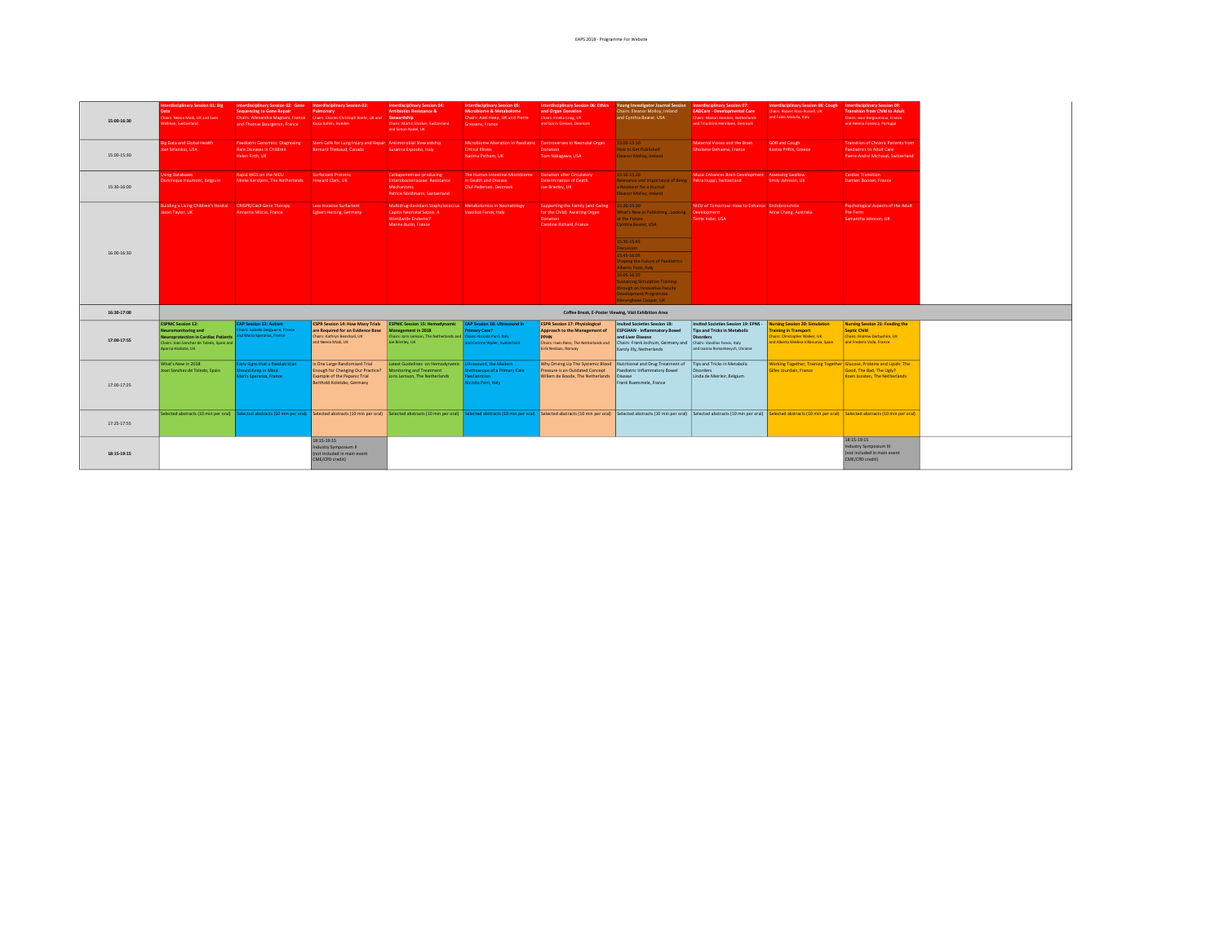| 15:00-16:30 | Interdisciplinary Session 01: Big<br>Data<br>Chairs: Neena Modi, UK and Syen<br>Vellman, Switzerland                                                                                  | Interdisciplinary Session 02: Gene Interdisciplinary Session 03:<br><b>Sequencing to Gene Repair</b><br>and Thomas Bourgeron, France | Pulmonary<br>Chairs: Allesandra Magnani, France  Chairs: Charles-Christoph Roehr, UK and<br>Kajsa Bohlin, Sweden                        | Interdisciplinary Session 04:<br><b>Antibiotics Resistance &amp;</b><br>Stewardship<br>Chairs: Martin Stocker, Switzerland<br>and Simon Nadel, UK         | <b>Interdisciplinary Session 05:</b><br><b>Microbiome &amp; Metabolome</b><br>Chairs: Axel Heep, UK and Pierre<br>Gressens, France | Interdisciplinary Session 06: Ethics<br>and Organ Donation<br>Chairs: Finella Craig, UK<br>and Gorm Greisen, Denmark                                                                                                          | Young Investigator Journal Session Interdisciplinary Session 07:<br>Chairs: Eleanor Molloy, Ireland<br>and Cynthia Bearer, USA                                                                   | <b>EADCare - Developmental Care</b><br><b>Chairs: Manon Benders, Netherlands</b><br>and Tina Brink Henriksen, Denmark       | Interdisciplinary Session 08: Cough<br>Chairs: Robert Ross-Russell, UK<br>and Fabio Midulla, Italy                                             | Interdisciplinary Session 09:<br><b>Transition from Child to Adult</b><br>Chairs: Jean Bergounioux, France<br>and Helena Fonseca, Portugal |
|-------------|---------------------------------------------------------------------------------------------------------------------------------------------------------------------------------------|--------------------------------------------------------------------------------------------------------------------------------------|-----------------------------------------------------------------------------------------------------------------------------------------|-----------------------------------------------------------------------------------------------------------------------------------------------------------|------------------------------------------------------------------------------------------------------------------------------------|-------------------------------------------------------------------------------------------------------------------------------------------------------------------------------------------------------------------------------|--------------------------------------------------------------------------------------------------------------------------------------------------------------------------------------------------|-----------------------------------------------------------------------------------------------------------------------------|------------------------------------------------------------------------------------------------------------------------------------------------|--------------------------------------------------------------------------------------------------------------------------------------------|
| 15:00-15:30 | <b>Big Data and Global Health</b><br>Joel Selanikio, USA                                                                                                                              | Paediatric Genomics: Diagnosing<br>Rare Diseases in Children<br>Helen Firth, UK                                                      | Stem Cells for Lung Injury and Repair Antimicrobial Stewardship<br>Bernard Thebaud, Canada                                              | Susanna Esposito, Italy                                                                                                                                   | Microbiome Alteration in Paediatric Controversies in Neonatal Organ<br><b>Critical Illness</b><br>Nazima Patham, UK                | Donation<br>Tom Nakagawa, USA                                                                                                                                                                                                 | $5:00-15:10$<br>How to Get Published<br>Eleanor Molloy, Ireland                                                                                                                                  | Maternal Voices and the Brain<br>Ghislaine Dehaene, France                                                                  | <b>GOR and Cough</b><br>Kostas Priftis, Greece                                                                                                 | <b>Transition of Chronic Patients from</b><br><b>Paediatrics to Adult Care</b><br>Pierre-André Michaud, Switzerland                        |
| 15:30-16:00 | <b>Jsing Databases</b><br><b>Dominique Haumont, Belgium</b>                                                                                                                           | Rapid WGS on the NICU<br>Mieke Kerstjens, The Netherlands Howard Clark, UK                                                           | <b>Surfactant Proteins</b>                                                                                                              | Carbapenemase-producing<br>Enterobacteriaceae: Resistance<br>Mechanisms<br><b>Patrice Nordmann, Switzerland</b>                                           | in Gealth and Disease<br>Oluf Pedersen, Denmark                                                                                    | <b>Determination of Death</b><br>Joe Brierley, UK                                                                                                                                                                             | $5:10-15:20$<br>Relevance and Importance of Being <b>Petra Huppi, Switzerland</b><br>a Reviewer for a Journal<br>leanor Molloy, Ireland                                                          | Music Enhances Brain Development Assessing Swallow                                                                          | Emily Johnson, UK                                                                                                                              | <b>Cardiac Transition</b><br>Damien Bonnet, France                                                                                         |
|             | Building a Living Children's Hosital CRISPR/Cas9 Gene Therapy<br>Jason Taylor, UK                                                                                                     | Annarita Miccio, France                                                                                                              | Less Invasive Surfactant<br>Egbert Herting, Germany                                                                                     | Multidrug-Resistant Staphylococcus Metabolomics in Neonatology<br>Capitis Neonatal Sepsis. A<br>Worldwide Endemic?<br>Marine Butin, France                | Vassilios Fanos, Italy                                                                                                             | Supporting the Family (and Caring<br>for the Child) Awaiting Organ<br>Donation<br>Caroline Richard, France                                                                                                                    | 15:20-15:30<br>What's New in PublishingLooking   Development<br>at the Future<br>Cynthia Bearer, USA                                                                                             | NICU of Tomorrow: How to Enhance Endobronchitis<br>Terrie Inder, USA                                                        | Anne Chang, Australia                                                                                                                          | <b>Psychological Aspects of the Adult</b><br>Pre-Term<br>Samantha Johnson, UK                                                              |
| 16:00-16:30 |                                                                                                                                                                                       |                                                                                                                                      |                                                                                                                                         |                                                                                                                                                           |                                                                                                                                    |                                                                                                                                                                                                                               | 5:30-15:45<br>Discussion<br>15:45-16:05<br>haping the Future of Paediatrics<br>Alberto Tozzi, Italy<br>16:05-16:25                                                                               |                                                                                                                             |                                                                                                                                                |                                                                                                                                            |
|             |                                                                                                                                                                                       |                                                                                                                                      |                                                                                                                                         |                                                                                                                                                           |                                                                                                                                    |                                                                                                                                                                                                                               | iustaining Simulation Training<br>through an Innovative Faculty<br><b>Development Programme</b><br>Merenghese Cooper, UK                                                                         |                                                                                                                             |                                                                                                                                                |                                                                                                                                            |
| 16:30-17:00 |                                                                                                                                                                                       |                                                                                                                                      |                                                                                                                                         |                                                                                                                                                           |                                                                                                                                    |                                                                                                                                                                                                                               | Coffee Break, E-Poster Viewing, Visit Exhibition Area                                                                                                                                            |                                                                                                                             |                                                                                                                                                |                                                                                                                                            |
| 17:00-17:55 | <b>ESPNIC Session 12:</b><br>Neuromonitoring and<br>Neuroprotection in Cardiac Patients and Mario Speranza, France<br>Chairs: Joan Sanchez de Toledo, Spain and<br>Aparna Hoskote, UK | <b>EAP Session 13: Autism</b><br>hairs: Isabelle Deseuerre, France                                                                   | <b>ESPR Session 14: How Many Trials</b><br>are Required for an Evidence Base<br>Chairs: Kathryn Beardsall, UK<br>and Neena Modi, UK     | <b>ESPNIC Session 15: Hemodynamic</b><br>Management in 2018<br>Chairs: Joris Lemson, The Netherlands and Chairs: Niccolo Parri, Italy<br>Joe Brierley, UK | EAP Session 16: Ultrasound in<br>rimary Care?<br>nd Corinne Wyder, Switzerland                                                     | <b>ESPR Session 17: Physiological</b><br>Approach to the Management of<br><b>PPHN</b><br>Chairs: Irwin Reiss, The Netherlands and<br>Eirik Nestaas, Norway                                                                    | <b>Invited Societies Session 18:</b><br><b>ESPGHAN - Inflammatory Bowel</b><br>and Liver Disease<br>Chairs: Frank Jochum, Germany and Chairs: Vassilios Fanos, Italy<br>Karoly Illy, Netherlands | Invited Societies Session 19: EPNS -<br>Tips and Tricks in Metabolic<br><b>Disorders</b><br>and Ivanna Romankevych, Ukraine | <b>Nursing Session 20: Simulation</b><br>raining in Transport<br><b>Chairs: Christopher Walker, UK</b><br>and Alberto Medina Villanueva, Spain | Nursing Session 21: Feeding the<br><b>Septic Child</b><br><b>Chairs: Andrew Darbyshire, UK</b><br>and Frederic Valla, France               |
| 17:00-17:25 | What's New in 2018<br>Joan Sanchez de Toledo, Spain                                                                                                                                   | arly Signs that a Paediatrician<br>auld Keep in Mind<br>Mario Speranza, France                                                       | Is One Large Randomised Trial<br><b>Enough for Changing Our Practice?</b><br>Example of the Pepanic Trial<br>Berthold Koletzko, Germany | Latest Guidelines on Hemodynamic Ultrasound, the Modern<br>Monitoring and Treatment<br>Joris Lemson, The Netherlands                                      | ethoscope of a Primary Care<br>ediatrician<br>liccolo Parri, Italy                                                                 | Why Driving Up The Systemic Blood<br>Pressure is an Outdated Concept<br>Willem de Boode, The Netherlands                                                                                                                      | Nutritional and Drug Treatment of<br>Paediatric Inflammatory Bowel<br>Disease<br>Frank Ruemmele, France                                                                                          | Tips and Tricks in Metabolic<br>Disorders<br>Linda de Meirleir, Belgium                                                     | Working Together, Training Together Glucose, Proteins and Lipids: The<br>Gilles Jourdain, France                                               | Good, The Bad, The Ugly?<br>Koen Joosten, The Netherlands                                                                                  |
| 17:25-17:55 |                                                                                                                                                                                       |                                                                                                                                      |                                                                                                                                         |                                                                                                                                                           |                                                                                                                                    | Selected abstracts (10 min per oral) Selected abstracts (10 min per oral) Selected abstracts (10 min per oral) Selected abstracts (10 min per oral) Selected abstracts (10 min per oral) Selected abstracts (10 min per oral) |                                                                                                                                                                                                  |                                                                                                                             |                                                                                                                                                |                                                                                                                                            |
| 18:15-19:15 |                                                                                                                                                                                       |                                                                                                                                      | 18:15-19:15<br>ndustry Symposium II<br>(not included in main event<br>CME/CPD credit)                                                   |                                                                                                                                                           |                                                                                                                                    |                                                                                                                                                                                                                               |                                                                                                                                                                                                  |                                                                                                                             |                                                                                                                                                | 18:15-19:15<br>Industry Symposium III<br>(not included in main event<br>CME/CPD credit)                                                    |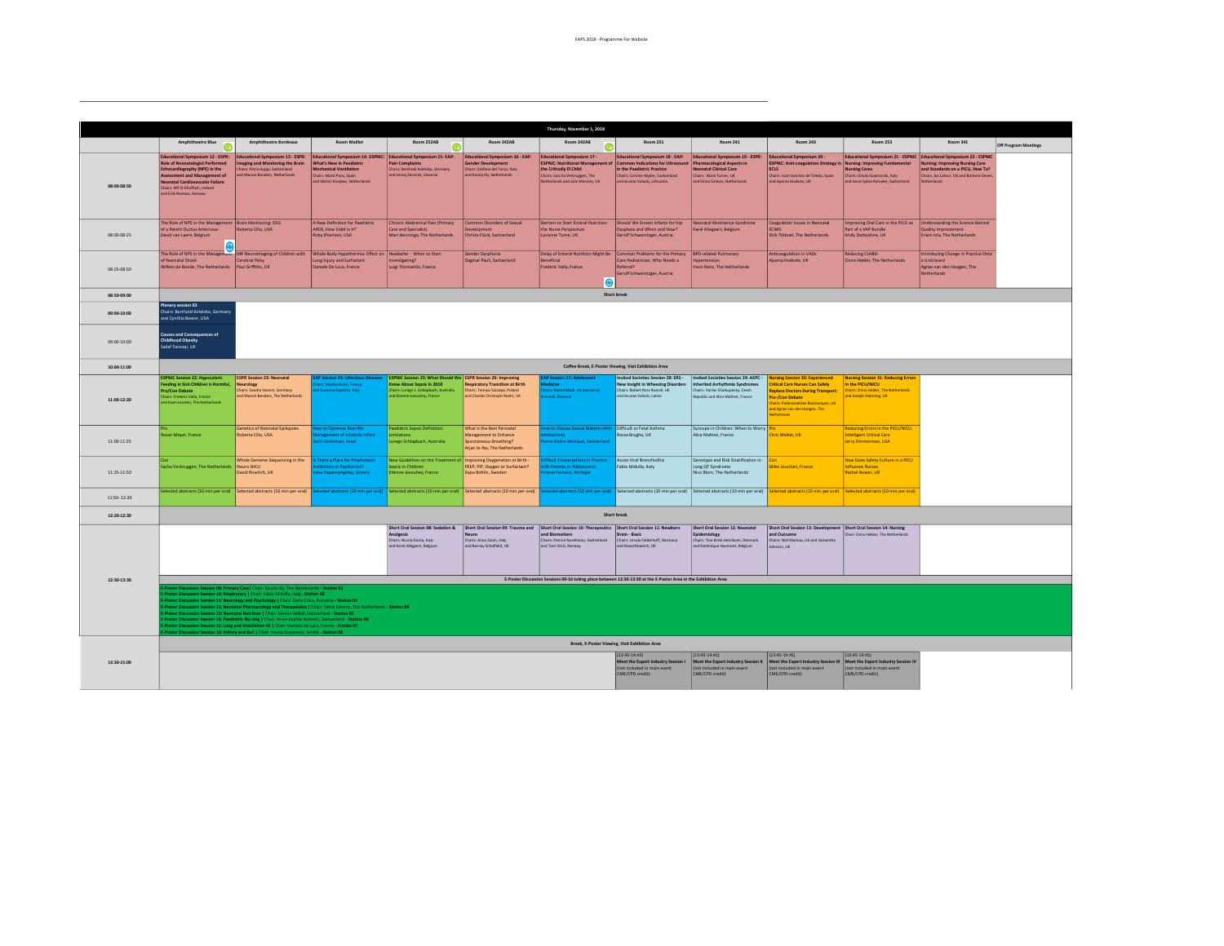|             |                                                                                                                                                                                                                                                                                                                                                                                                                                                                                                                                                                                                                                                                                                                                                                                                                   |                                                                                                                                                                                          |                                                                                                                                                                                               |                                                                                                                                                                           |                                                                                                                                         | Thursday, November 1, 2018                                                                                                                                                                |                                                                                                                                                                                   |                                                                                                                                                                                         |                                                                                                                                                                                                                                 |                                                                                                                                  |                                                                                                                                                                                                                    |                      |
|-------------|-------------------------------------------------------------------------------------------------------------------------------------------------------------------------------------------------------------------------------------------------------------------------------------------------------------------------------------------------------------------------------------------------------------------------------------------------------------------------------------------------------------------------------------------------------------------------------------------------------------------------------------------------------------------------------------------------------------------------------------------------------------------------------------------------------------------|------------------------------------------------------------------------------------------------------------------------------------------------------------------------------------------|-----------------------------------------------------------------------------------------------------------------------------------------------------------------------------------------------|---------------------------------------------------------------------------------------------------------------------------------------------------------------------------|-----------------------------------------------------------------------------------------------------------------------------------------|-------------------------------------------------------------------------------------------------------------------------------------------------------------------------------------------|-----------------------------------------------------------------------------------------------------------------------------------------------------------------------------------|-----------------------------------------------------------------------------------------------------------------------------------------------------------------------------------------|---------------------------------------------------------------------------------------------------------------------------------------------------------------------------------------------------------------------------------|----------------------------------------------------------------------------------------------------------------------------------|--------------------------------------------------------------------------------------------------------------------------------------------------------------------------------------------------------------------|----------------------|
|             | <b>Amphitheatre Blue</b>                                                                                                                                                                                                                                                                                                                                                                                                                                                                                                                                                                                                                                                                                                                                                                                          | <b>Amphitheatre Bordeaux</b>                                                                                                                                                             | <b>Room Maillot</b>                                                                                                                                                                           | Room 252AB                                                                                                                                                                | Room 342AB                                                                                                                              | Room 242AB                                                                                                                                                                                | <b>Room 251</b>                                                                                                                                                                   | <b>Room 241</b>                                                                                                                                                                         | <b>Room 243</b>                                                                                                                                                                                                                 | <b>Room 253</b>                                                                                                                  | <b>Room 341</b>                                                                                                                                                                                                    |                      |
|             | e                                                                                                                                                                                                                                                                                                                                                                                                                                                                                                                                                                                                                                                                                                                                                                                                                 |                                                                                                                                                                                          |                                                                                                                                                                                               | 0                                                                                                                                                                         |                                                                                                                                         | െ                                                                                                                                                                                         |                                                                                                                                                                                   |                                                                                                                                                                                         |                                                                                                                                                                                                                                 |                                                                                                                                  |                                                                                                                                                                                                                    | Off Program Meetings |
| 08:00-08:50 | <b>Educational Symposium 12 - ESPR:</b><br><b>Role of Neonatologist Performed</b><br>Echocardiography (NPE) in the<br>Assessment and Management of<br><b>Veonatal Cardiovascular Failure</b><br>Chairs: Afif El-Khuffash, Ireland<br>and Eirik Nestaas, Norway                                                                                                                                                                                                                                                                                                                                                                                                                                                                                                                                                    | <b>Educational Symposium 13 - ESPR:</b><br>maging and Monitoring the Brain<br>Chairs: Petra Huppi, Switzerland<br>and Manon Benders, Netherlands                                         | Educational Symposium 14- ESPNIC: Educational Symposium 15- EAP:<br>What's New in Paediatric<br><b>Mechanical Ventilation</b><br>Chairs: Marti Pons, Snain<br>and Martin Kneyber, Netherlands | <b>Pain Complaints</b><br>Chairs: Berthold Koletzko, Germany<br>and Jernei Zavrsnik, Slovenia                                                                             | <b>Educational Symposium 16 - EAP:</b><br><b>Sender Development</b><br>Chairs: Stefano del Torso, Italy<br>and Karoly Illy, Netherlands | <b>Educational Symposium 17 -</b><br><b>ESPNIC: Nutritional Management of</b><br>the Critically III Child<br>Chairs: Sascha Verbruggen, The<br>Netherlands and Julie Menzies, UK          | Educational Symposium 18 - EAP:<br><b>Common Indications for Ultrasound</b><br>in the Paediatric Practice<br>Chairs: Corinne Wyder, Switzerland<br>and Arunas Valiulis, Lithuania | Educational Symposium 19 - ESPR:<br>harmacological Aspects in<br><b>Veonatal Clinical Care</b><br>Chairs: Mark Turner, UK<br>and Sinno Simons, Netherlands                              | Educational Symposium 20 -<br>ESPNIC: Anti-coagulation Strategy in Nursing: Improving Fundamental<br><b>ECLS</b><br>Chairs: Joan Sanchez de Toledo, Spain<br>and Agama Hoskote, UK                                              | <b>Nursing Cares</b><br>Chairs: Orsola Gawronski, Italy<br>and Anne-Sylvie Ramelet, Switzerland                                  | Educational Symposium 21 - ESPNIC Educational Symposium 22 - ESPNIC<br><b>Nursing: Improving Nursing Care</b><br>and Standards on a PICU. How To?<br>Chairs: Jos Latour, UK and Barbara Geve<br><b>Netherlands</b> |                      |
| 08:00-08:25 | The Role of NPE in the Management   Brain Monitoring: EEG<br>of a Patent Ductus Arteriosus<br>David van Laere, Belgium                                                                                                                                                                                                                                                                                                                                                                                                                                                                                                                                                                                                                                                                                            | Roberta Cilio, USA                                                                                                                                                                       | A New Definition for Paediatric<br>ARDS, How Valid Is It?<br>Roby Khemani, USA                                                                                                                | Chronic Abdominal Pain (Primary<br>Care and Specialist)<br>Marc Benninga, The Netherlands                                                                                 | Common Disorders of Sexual<br>rvelooment<br>Christa Flück, Switzerland                                                                  | <b>Barriers to Start Enteral Nutrition:</b><br>the Nurse Perspective<br>Lyvonne Tume, UK                                                                                                  | Should We Screen Infants for Hip<br>Dysplasia and When and How?<br>Gerolf Schweintzger, Austria                                                                                   | Negoztal Abstinence Syndrome<br>Karel Allegaert, Belgium                                                                                                                                | <b>Coagulation Issues in Neonatal</b><br><b>ECMO</b><br>Dick Tibboel, The Netherlands                                                                                                                                           | Improving Oral Care in the PICU as<br>art of a VAP Bundle<br>Andy Darbyshire, UK                                                 | <b>Understanding the Science Behind</b><br><b>Quality Improvement</b><br>Erwin Ista, The Netherlands                                                                                                               |                      |
| 08:25-08:50 | The Role of NPE in the Management   MR Neuroimaging of Children with<br>of Neonatal Shock<br>Willem de Boode. The Netherlands Paul Griffiths, UK                                                                                                                                                                                                                                                                                                                                                                                                                                                                                                                                                                                                                                                                  | Cerebral Palsy                                                                                                                                                                           | Whole Body Hypothermia: Effect on<br>Lung Injury and Surfactant<br>Daniele De Luca, France                                                                                                    | Headache - When to Start<br>Investigating?<br>Luigi Titomanlio, France                                                                                                    | Gender Dysphoria<br>Dagmar Pauli, Switzerland                                                                                           | Delay of Enteral Nutrition Might Be<br>Beneficial<br>Frederic Valla, France<br>⋒                                                                                                          | Common Problems for the Primary<br>Care Pediatrician, Who Needs a<br>Referral?<br>Gerolf Schweintzger, Austria                                                                    | <b>BPD-related Pulmonary</b><br>Hypertension<br>Irwin Reiss, The Netherlands                                                                                                            | Anticoagulation in VADs<br>Aparna Hoskote, UK                                                                                                                                                                                   | <b>Reducing CLABSI</b><br>Onno Helder, The Netherlands                                                                           | ntroducing Change in Practice Onto<br>a Unit/ward<br>Agnes van den Hoogen, The<br><b>Netherlands</b>                                                                                                               |                      |
| 08:50-09:00 |                                                                                                                                                                                                                                                                                                                                                                                                                                                                                                                                                                                                                                                                                                                                                                                                                   |                                                                                                                                                                                          |                                                                                                                                                                                               |                                                                                                                                                                           |                                                                                                                                         |                                                                                                                                                                                           | Short break                                                                                                                                                                       |                                                                                                                                                                                         |                                                                                                                                                                                                                                 |                                                                                                                                  |                                                                                                                                                                                                                    |                      |
| 09:00-10:00 | Plenary session 03<br>Chairs: Berthold Koletzko, Germany<br>and Cynthia Bearer, USA                                                                                                                                                                                                                                                                                                                                                                                                                                                                                                                                                                                                                                                                                                                               |                                                                                                                                                                                          |                                                                                                                                                                                               |                                                                                                                                                                           |                                                                                                                                         |                                                                                                                                                                                           |                                                                                                                                                                                   |                                                                                                                                                                                         |                                                                                                                                                                                                                                 |                                                                                                                                  |                                                                                                                                                                                                                    |                      |
| 09:00-10:00 | <b>Causes and Consequences of</b><br>Childhood Obesity<br>Sadaf Farnoni, UK                                                                                                                                                                                                                                                                                                                                                                                                                                                                                                                                                                                                                                                                                                                                       |                                                                                                                                                                                          |                                                                                                                                                                                               |                                                                                                                                                                           |                                                                                                                                         |                                                                                                                                                                                           |                                                                                                                                                                                   |                                                                                                                                                                                         |                                                                                                                                                                                                                                 |                                                                                                                                  |                                                                                                                                                                                                                    |                      |
| 10:00-11:00 | Coffee Break, E-Poster Viewing, Visit Exhibition Area                                                                                                                                                                                                                                                                                                                                                                                                                                                                                                                                                                                                                                                                                                                                                             |                                                                                                                                                                                          |                                                                                                                                                                                               |                                                                                                                                                                           |                                                                                                                                         |                                                                                                                                                                                           |                                                                                                                                                                                   |                                                                                                                                                                                         |                                                                                                                                                                                                                                 |                                                                                                                                  |                                                                                                                                                                                                                    |                      |
| 11:00-12:20 | <b>ESPNIC Session 22: Hypocaloric</b><br>Feeding in Sick Children is Harmful,<br>Pro/Con Debate<br>Chairs: Frederic Valla, France<br>and Koen Joosten, The Netherlands                                                                                                                                                                                                                                                                                                                                                                                                                                                                                                                                                                                                                                            | <b>ESPR Session 23: Neonatal</b><br>leurology<br>Chairs: Sandra Horsch, Germany<br>and Manon Benders. The Netherlands                                                                    | <b>AP Session 24: Infectious Diseases</b><br>irs: Marine Butin, France<br>Susanna Esposito, Italy                                                                                             | <b>ESPNIC Session 25: What Should We ESPR Session 26: Improving</b><br>now About Sepsis in 2018<br>Thairs: Lureen J. Schlapbach, Australia<br>nd Etienne Javouhev, France | <b>Respiratory Transition at Birth</b><br>Chairs: Tomasz Szczapa, Poland<br>and Charles Christoph Roehr, UK                             | AP Session 27: Adolescen<br>airs: Neena Modi, UK and Jernei<br>wonik Sinuonia                                                                                                             | Invited Societies Session 28: ERS -<br>New Insight in Wheezing Disorders<br>Chairs: Robert Ross Russell, UK<br>and Arunas Valiulis, Latvia                                        | Invited Societies Session 29: AEPC -<br>nherited Arrhythmia Syndromes<br>Chairs: Vaclay Chaloupecky, Czech<br>lepublic and Alice Maltret, France                                        | <b>Jursing Session 30: Experienced</b><br><b>Critical Care Nurses Can Safely</b><br><b>Replace Doctors During Transport:</b><br>ro-/Con Debate<br>jairs: Padmanabhan Ramnarayan, UK<br>ad Agnes van den Hoogen, The<br>herlands | <b>Nursing Session 31: Reducing Errors</b><br>in the PICU/NICU<br>Chairs: Onno Helder, The Netherlands<br>and Joseph Manning, UK |                                                                                                                                                                                                                    |                      |
| 11:00-11:25 | <b>Rosan Meyer France</b>                                                                                                                                                                                                                                                                                                                                                                                                                                                                                                                                                                                                                                                                                                                                                                                         | Genetics of Neonatal Epilepsies<br>Roberta Cilio, USA                                                                                                                                    | ow to Optimise Real-life<br>agement of a Febrile Infant<br>hi Grossman, Israel                                                                                                                | aediatric Sepsis Definition:<br>imitation<br>uregn Schlapbach, Australia                                                                                                  | What is the Best Perinatal<br>Management to Enhance<br>Spontaneous Breathing?<br>Arian te Pas. The Netherlands                          | ow to Discuss Sexual Matters With Difficult or Fatal Asthma<br>rre-André Michaud, Switzerland                                                                                             | Rossa Brugha, UK                                                                                                                                                                  | Syncope in Children: When to Worry<br>Alice Maltret, France                                                                                                                             | <b>Thris Walker TIK</b>                                                                                                                                                                                                         | Reducing Errors in the PICU/NICU.<br>Intelligent Critical Care<br>lerry Zimmerman, USA                                           |                                                                                                                                                                                                                    |                      |
| 11:25-11:50 | Sacha Verbruggen, The Netherlands Neuro NICU                                                                                                                                                                                                                                                                                                                                                                                                                                                                                                                                                                                                                                                                                                                                                                      | Whole Genome Sequencing in the<br>David Rowitch UK                                                                                                                                       | There a Place for Prophylactic<br>iotics in Paediatrics?<br>ana Panaevangelou, Greece                                                                                                         | New Guidelines on the Treatment of   Improving Oxygenation at Birth -<br>epsis in Children<br>tienne lavouhev France                                                      | PEEP, PIP, Oxygen or Surfactant?<br>Kaisa Boblin, Sweden                                                                                | ficult Conversations in Practice<br>th Parents or Adolescents<br>ena Fonseca, Portugal                                                                                                    | Acute Viral Bronchiolitis<br>Fabio Midulla, Italy                                                                                                                                 | Genotype and Risk Stratification in<br>Long QT Syndrome<br>Nico Blom, The Netherlands                                                                                                   | Silles Jourdain, France                                                                                                                                                                                                         | How Does Safety Culture in a PICU<br>nfluence Nurses<br><b>Rachel Rower TIK</b>                                                  |                                                                                                                                                                                                                    |                      |
| 11:50:12:20 |                                                                                                                                                                                                                                                                                                                                                                                                                                                                                                                                                                                                                                                                                                                                                                                                                   | Selected abstracts (10 min per oral) Selected abstracts (10 min per oral) Selected abstracts (10 min per oral) Selected abstracts (10 min per oral) Selected abstracts (10 min per oral) |                                                                                                                                                                                               |                                                                                                                                                                           |                                                                                                                                         |                                                                                                                                                                                           |                                                                                                                                                                                   | elected abstracts (10 min per oral) Selected abstracts (10 min per oral) Selected abstracts (10 min per oral) Selected abstracts (10 min per oral) Selected abstracts (10 min per oral) |                                                                                                                                                                                                                                 |                                                                                                                                  |                                                                                                                                                                                                                    |                      |
| 12:20-12:30 |                                                                                                                                                                                                                                                                                                                                                                                                                                                                                                                                                                                                                                                                                                                                                                                                                   |                                                                                                                                                                                          |                                                                                                                                                                                               |                                                                                                                                                                           |                                                                                                                                         |                                                                                                                                                                                           | Short break                                                                                                                                                                       |                                                                                                                                                                                         |                                                                                                                                                                                                                                 |                                                                                                                                  |                                                                                                                                                                                                                    |                      |
|             |                                                                                                                                                                                                                                                                                                                                                                                                                                                                                                                                                                                                                                                                                                                                                                                                                   |                                                                                                                                                                                          |                                                                                                                                                                                               | Short Oral Session 08: Sedation &<br><b>Inalgesia</b><br>hairs: Nicola Disma, Italy<br>Ind Karel Allegaert, Belgium                                                       | leuro<br>Chairs: Anna Zanin, Italy<br>and Barney Scholfield, UK                                                                         | Short Oral Session 09: Trauma and Short Oral Session 10: Therapeutics Short Oral Session 11: Newborn<br>and Biomarkers<br>Chairs: Patrice Nordmann, Switzerland<br>and Tom Stiris, Norway | Brain - Basic<br>Chairs: Ursula Felderhoff, Germany<br>and David Rowitch, UK                                                                                                      | Short Oral Session 12: Neonatal<br>Epidemiology<br>Chairs: Tine Brink Henriksen, Denmark<br>and Dominique Haumont, Belgium                                                              | Short Oral Session 13: Development Short Oral Session 14: Nursing<br>and Outcome<br>Chairs: Neil Marlow, UK and Samantha<br>Johnson, UK                                                                                         | air: Onno Helder, The Netherlands                                                                                                |                                                                                                                                                                                                                    |                      |
| 12:30-13:30 |                                                                                                                                                                                                                                                                                                                                                                                                                                                                                                                                                                                                                                                                                                                                                                                                                   |                                                                                                                                                                                          |                                                                                                                                                                                               |                                                                                                                                                                           |                                                                                                                                         | E-Poster Discussion Sessions 09-16 taking place between 12:30-13:30 at the E-Poster Area in the Exhibition Area                                                                           |                                                                                                                                                                                   |                                                                                                                                                                                         |                                                                                                                                                                                                                                 |                                                                                                                                  |                                                                                                                                                                                                                    |                      |
|             | sion Session 09: Primary Care   Chair: Károly Illy, The Netherlands - Station 01<br>oster Discussion Session 10: Respiratory   Chair: Fabio Midulla, Italy - Station 02<br>Poster Discussion Session 11: Neurology and Psychology   Chair: Dana Craiu, Romania - Station 03<br>ssion Session 12: Neonatal Pharmacology and Therapeutics   Chair: Sinno Simons, The Netherlands - Station 04<br>Oster Discussion Session 13: Neonatal Nutrition   Chair: Kerstin Seibel, Switzerland - Station 05<br>Poster Discussion Session 14: Paediatric Nursing   Chair: Anne-Sophie Ramelet, Switzerland - Station 06<br>Poster Discussion Session 15: Lung and Ventilation 02   Chair: Daniele de Luca, France - Station 07<br>Poster Discussion Session 16: Kidney and Gut   Chair: Vesna Stojanovic, Serbia - Station 08 |                                                                                                                                                                                          |                                                                                                                                                                                               |                                                                                                                                                                           |                                                                                                                                         |                                                                                                                                                                                           |                                                                                                                                                                                   |                                                                                                                                                                                         |                                                                                                                                                                                                                                 |                                                                                                                                  |                                                                                                                                                                                                                    |                      |
|             |                                                                                                                                                                                                                                                                                                                                                                                                                                                                                                                                                                                                                                                                                                                                                                                                                   |                                                                                                                                                                                          |                                                                                                                                                                                               |                                                                                                                                                                           |                                                                                                                                         |                                                                                                                                                                                           | Break, E-Poster Viewing, Visit Exhibition Area                                                                                                                                    |                                                                                                                                                                                         |                                                                                                                                                                                                                                 |                                                                                                                                  |                                                                                                                                                                                                                    |                      |
| 13:30-15:00 |                                                                                                                                                                                                                                                                                                                                                                                                                                                                                                                                                                                                                                                                                                                                                                                                                   |                                                                                                                                                                                          |                                                                                                                                                                                               |                                                                                                                                                                           |                                                                                                                                         |                                                                                                                                                                                           | $(13:45-14:45)$<br>Meet the Expert Industry Session I<br>(not included in main event<br>CME/CPD credit)                                                                           | $(13:45-14:45)$<br>Meet the Expert Industry Session II<br>not included in main event<br>CME/CPD credit)                                                                                 | $(13:45-14:45)$<br>Meet the Expert Industry Session III<br>(not included in main event<br>CME/CPD credit)                                                                                                                       | $(13:45-14:45)$<br>Meet the Expert Industry Session IV<br>(not included in main event)<br>CME/CPD credit)                        |                                                                                                                                                                                                                    |                      |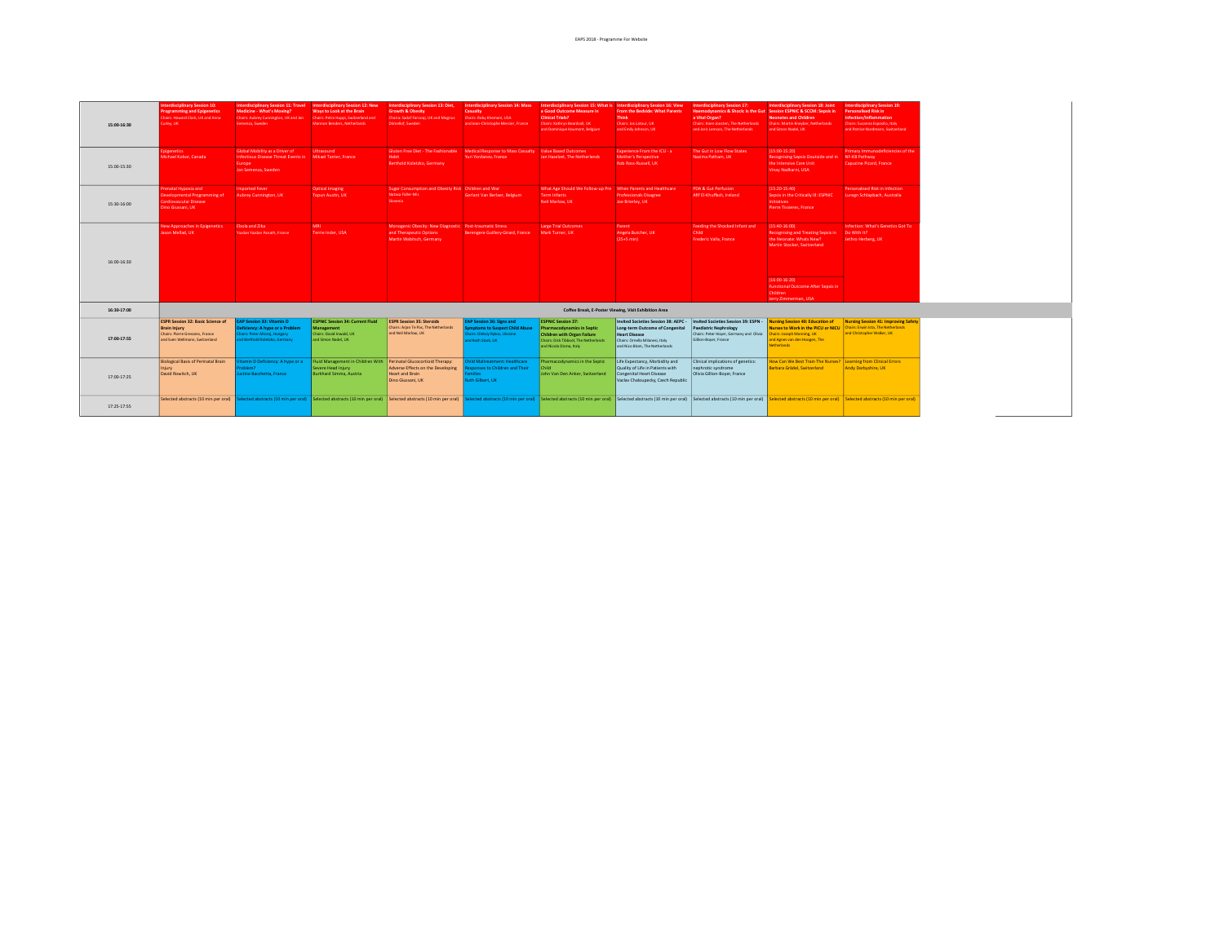| 15:00-16:30 | nterdisciplinary Session 10:<br><b>Programming and Epigenetics</b><br>Chairs: Howard Clark, UK and Anna<br>Juriey, UK                | Medicine - What's Moving?<br>Chairs: Aubrey Cunnington, UK and Jan<br>Semenza, Sweden                                               | Interdisciplinary Session 11: Travel Interdisciplinary Session 12: New<br>Ways to Look at the Brain<br>Chairs: Petra Huppi, Switzerland and<br>Mannon Benders, Netherlands                                                    | Interdisciplinary Session 13: Diet,<br><b>Growth &amp; Obesity</b><br>Chaira: Sadaf Faroogi, UK and Magnus<br>Dömellof, Sweden | Interdisciplinary Session 14: Mass Interdisciplinary Session 15: What is Interdisciplinary Session 16: View<br>Casualty<br>Chairs: Roby Khemani, USA<br>and Jean-Christophe Mercier, France | a Good Outcome Measure in<br><b>Clinical Trials?</b><br>Chairs: Kathryn Beardsall, UK<br>and Dominique Haumont, Belgium                                           | From the Bedside: What Parents<br><b>Think</b><br>Chairs: Jos Latour, UK<br>and Emily Johnson, UK                                                                    | <b>Interdisciplinary Session 17:</b><br>Haemodynamics & Shock: Is the Gut Session ESPNIC & SCCM: Sepsis in<br>a Vital Organ?<br>Chairs: Koen Joosten, The Netherlands<br>and Joris Lemson, The Netherlands | Interdisciplinary Session 18: Joint<br>Neonates and Children<br>Chairs: Martin Kneyber, Netherlands<br>and Simon Nadel, UK                                         | <b>Interdisciplinary Session 19:</b><br><b>Personalised Risk in</b><br>Infection/Inflammation<br>Chairs: Susanna Esposito, Italy<br>and Patrice Nordmann, Switzerland |
|-------------|--------------------------------------------------------------------------------------------------------------------------------------|-------------------------------------------------------------------------------------------------------------------------------------|-------------------------------------------------------------------------------------------------------------------------------------------------------------------------------------------------------------------------------|--------------------------------------------------------------------------------------------------------------------------------|---------------------------------------------------------------------------------------------------------------------------------------------------------------------------------------------|-------------------------------------------------------------------------------------------------------------------------------------------------------------------|----------------------------------------------------------------------------------------------------------------------------------------------------------------------|------------------------------------------------------------------------------------------------------------------------------------------------------------------------------------------------------------|--------------------------------------------------------------------------------------------------------------------------------------------------------------------|-----------------------------------------------------------------------------------------------------------------------------------------------------------------------|
| 15:00-15:30 | pigenetics<br>Michael Kobor, Canada                                                                                                  | Global Mobility as a Driver of<br>Infectious Disease Threat Events in Mikael Tanter, France<br>Europe<br>Jan Semenza, Sweden        | Ultrasound                                                                                                                                                                                                                    | Gluten Free Diet - The Fashionable<br>Habit<br>Berthold Koletzko, Germany                                                      | Medical Response to Mass Casualty Value Based Outcomes<br>Yuri Yordanov, France                                                                                                             | Jan Hazelzet, The Netherlands                                                                                                                                     | Experience From the ICU - a<br>Mother's Perspective<br>Rob Ross-Russell, UK                                                                                          | The Gut in Low Flow States<br>Nazima Patham, UK                                                                                                                                                            | $(15:00-15:20)$<br>Recognising Sepsis Ooutside and in NF-KB Pathway<br>the Intensive Care Unit<br>Vinav Nadkarni, USA                                              | Primary Immunodeficiencies of the<br>Capucine Picard, France                                                                                                          |
| 15:30-16:00 | Prenatal Hypoxia and<br>Developmental Programming of<br><b>Cardiovascular Disease</b><br>Dino Giussani, UK                           | <b>Imported Fever</b><br>Aubrey Cunnington, UK                                                                                      | <b>Optical Imaging</b><br>Tooun Austin, UK                                                                                                                                                                                    | Sugar Consumption and Obesity Risk Children and War<br>Natasa Fidler-Mis<br>Slovenia                                           | Gerlant Van Berlaer, Belgium                                                                                                                                                                | What Age Should We Follow-up Pre When Parents and Healthcare<br><b>Term Infants</b><br>Neil Marlow, UK                                                            | <b>Professionals Disagree</b><br>Joe Brierley, UK                                                                                                                    | <b>PDA &amp; Gut Perfusion</b><br>Afif El-Khuffash, Ireland                                                                                                                                                | $(15:20-15:40)$<br>Sepsis in the Critically III: ESPNIC<br><b>Initiatives</b><br><b>Pierre Tissieres, France</b>                                                   | Personalised Risk in Infection<br>Lurezn Schlapbach, Australia                                                                                                        |
| 16:00-16:30 | <b>New Approaches in Epigenetics</b><br>ason Mellad, UK                                                                              | Ebola and Zika<br>Yazdan Yazdan Panath, France                                                                                      | MRI.<br>Terrie Inder, USA                                                                                                                                                                                                     | Monogenic Obesity: New Diagnostic Post-traumatic Stress<br>and Therapeutic Options<br>Martin Wabitsch, Germany                 | Berengere Guillery-Girard, France                                                                                                                                                           | Large Trial Outcomes<br>Mark Turner, UK                                                                                                                           | Parent<br>Angela Butcher, UK<br>$(25+5 min)$                                                                                                                         | Feeding the Shocked Infant and<br>Child<br>Frederic Valla, France                                                                                                                                          | $(15:40-16:00)$<br>Recognising and Treating Sepsis in<br>the Neonate: Whats New?<br>Martin Stocker, Switzerland                                                    | Infection: What's Genetics Got To<br>Do With It?<br>Jethro Herberg, UK                                                                                                |
|             |                                                                                                                                      |                                                                                                                                     |                                                                                                                                                                                                                               |                                                                                                                                |                                                                                                                                                                                             |                                                                                                                                                                   |                                                                                                                                                                      |                                                                                                                                                                                                            | $(16:00-16:20)$<br><b>Functional Outcome After Sepsis in</b><br>Children<br>Jerry Zimmerman, USA                                                                   |                                                                                                                                                                       |
| 16:30-17:00 |                                                                                                                                      |                                                                                                                                     |                                                                                                                                                                                                                               |                                                                                                                                |                                                                                                                                                                                             |                                                                                                                                                                   | Coffee Break, E-Poster Viewing, Visit Exhibition Area                                                                                                                |                                                                                                                                                                                                            |                                                                                                                                                                    |                                                                                                                                                                       |
| 17:00-17:55 | <b>ESPR Session 32: Basic Science of</b><br><b>Brain Injury</b><br>Chairs: Pierre Gressens, France<br>and Sven Wellmann, Switzerland | <b>EAP Session 33: Vitamin D</b><br>Deficiency: A hype or a Problem<br>airs: Peter Altoraj, Hungary<br>d Berthold Koletzko, Germany | <b>ESPNIC Session 34: Current Fluid</b><br>Management<br>Chairs: David Inwald, UK<br>and Simon Nadel, UK                                                                                                                      | <b>ESPR Session 35: Steroids</b><br>Chairs: Arian Te Pas. The Netherlands<br>and Neil Marlow, UK                               | EAP Session 36: Signs and<br>mptoms to Suspect Child Abuse<br>hairs: Oleksiv Rykov, Ukraine<br>nd Ruth Stark, UK                                                                            | <b>ESPNIC Session 37:</b><br><b>Pharmacodynamics in Septic</b><br>Children with Organ Failure<br>Chairs: Dick Tibboel, The Netherlands<br>and Nicola Disma, Italy | Invited Societies Session 38: AEPC -<br>Long-term Outcome of Congenital<br><b>Heart Disease</b><br>Chairs: Ornella Milanesi, Italy<br>and Nico Blom, The Netherlands | Invited Societies Session 39: ESPN -<br><b>Paediatric Nephrology</b><br>Chairs: Peter Hover, Germany and Olivia<br>Gillion-Boyer, France                                                                   | <b>Nursing Session 40: Education of</b><br>Nurses to Work in the PICU or NICU<br>Thairs: Joseph Manning, UK<br>and Agnes van den Hoogen, The<br><b>Netherlands</b> | Nursing Session 41: Improving Safety<br>Chairs: Erwin Ista, The Netherlands<br>and Christopher Walker, UK                                                             |
| 17:00-17:25 | <b>Biological Basis of Perinatal Brain</b><br>Injury<br>David Rowitch, UK                                                            | amin D Deficiency: A hype or a<br>blem?<br>stine Bacchetta, France                                                                  | Fluid Management in Children With Perinatal Glucocortioid Therapy:<br>Severe Head Injury<br>Burkhard Simma, Austria                                                                                                           | Adverse Effects on the Developing<br>Heart and Brain<br>Dino Giussani, UK                                                      | ild Maltreatment: Healthcare<br>sponses to Children and Their<br>milies<br>Ruth Gilbert, UK                                                                                                 | Pharmacodynamics in the Septic<br>Child<br>John Van Den Anker, Switzerland                                                                                        | Life Expectancy, Morbidity and<br>Quality of Life in Patients with<br>Congenital Heart Disease<br>Vaclav Chaloupecky, Czech Republic                                 | Clinical implications of genetics:<br>nephrotic syndrome<br>Olivia Gillion-Boyer, France                                                                                                                   | low Can We Best Train The Nurses? Learning from Clinical Errors<br>Barbara Grädel, Switzerland                                                                     | Andy Darbyshire, UK                                                                                                                                                   |
| 17:25-17:55 |                                                                                                                                      |                                                                                                                                     | Selected abstracts (10 min per oral) Selected abstracts (10 min per oral) Selected abstracts (10 min per oral) Selected abstracts (10 min per oral) Selected abstracts (10 min per oral) Selected abstracts (10 min per oral) |                                                                                                                                |                                                                                                                                                                                             |                                                                                                                                                                   |                                                                                                                                                                      |                                                                                                                                                                                                            |                                                                                                                                                                    |                                                                                                                                                                       |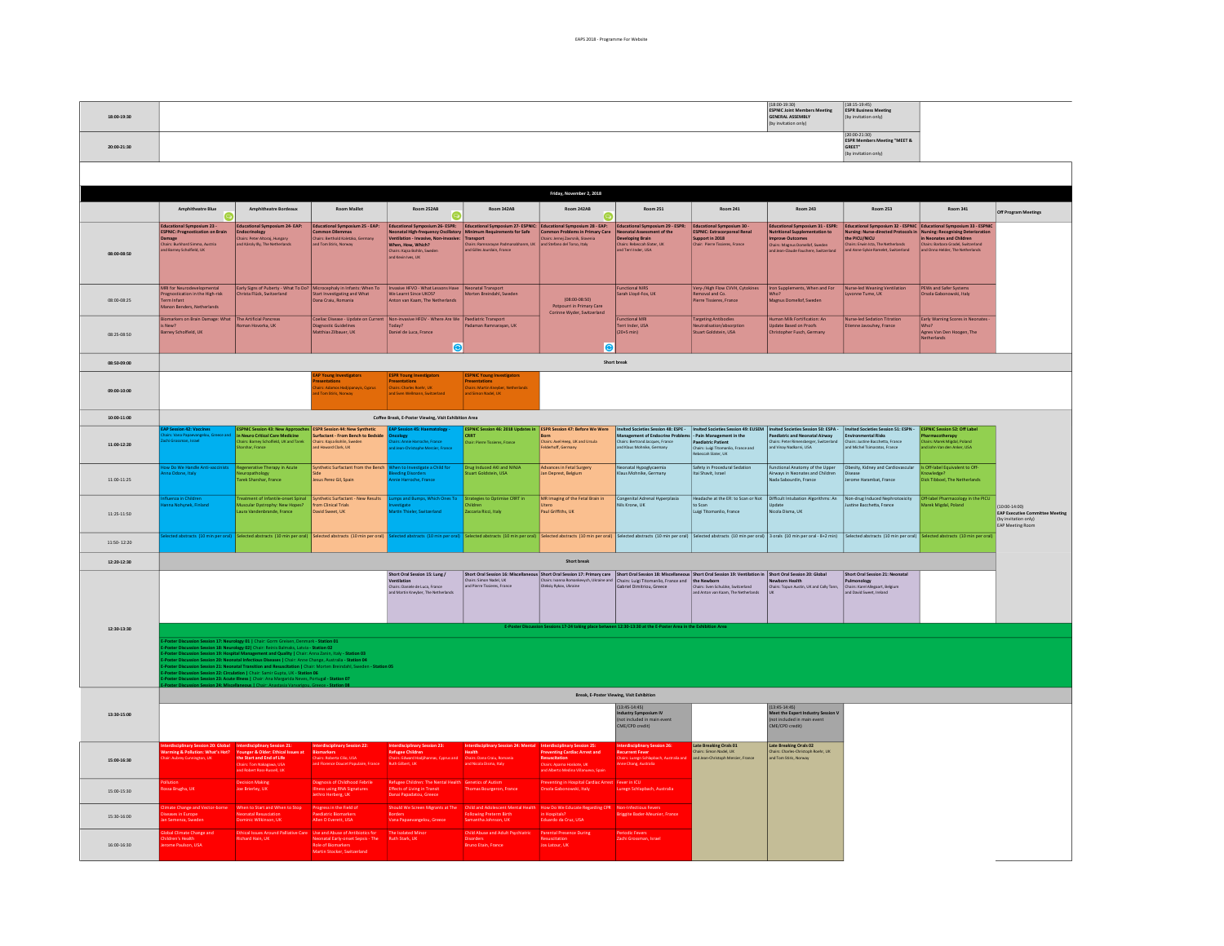| 18:00-19:30 |                                                                                                                                                                                                                                                                                                                                                                                           |                                                                                                                                                                                                                                                                                                                                                                                                                                                                                                                                                                            |                                                                                                                                                                                                                                |                                                                                                                                                                                                        |                                                                                                   |                                                                                                                                                              |                                                                                                                                           |                                                                                                                         | (18:00-19:30)<br><b>ESPNIC Joint Members Meeting</b><br><b>GENERAL ASSEMBLY</b><br>(by invitation only)                                                                                                                          | (18:15.19:45)<br><b>ESPR Business Meeting</b><br>(by invitation only)                                                                                                                                                                          |                                                                                                     |                                                                                         |
|-------------|-------------------------------------------------------------------------------------------------------------------------------------------------------------------------------------------------------------------------------------------------------------------------------------------------------------------------------------------------------------------------------------------|----------------------------------------------------------------------------------------------------------------------------------------------------------------------------------------------------------------------------------------------------------------------------------------------------------------------------------------------------------------------------------------------------------------------------------------------------------------------------------------------------------------------------------------------------------------------------|--------------------------------------------------------------------------------------------------------------------------------------------------------------------------------------------------------------------------------|--------------------------------------------------------------------------------------------------------------------------------------------------------------------------------------------------------|---------------------------------------------------------------------------------------------------|--------------------------------------------------------------------------------------------------------------------------------------------------------------|-------------------------------------------------------------------------------------------------------------------------------------------|-------------------------------------------------------------------------------------------------------------------------|----------------------------------------------------------------------------------------------------------------------------------------------------------------------------------------------------------------------------------|------------------------------------------------------------------------------------------------------------------------------------------------------------------------------------------------------------------------------------------------|-----------------------------------------------------------------------------------------------------|-----------------------------------------------------------------------------------------|
| 20:00-21:30 |                                                                                                                                                                                                                                                                                                                                                                                           |                                                                                                                                                                                                                                                                                                                                                                                                                                                                                                                                                                            |                                                                                                                                                                                                                                |                                                                                                                                                                                                        |                                                                                                   |                                                                                                                                                              |                                                                                                                                           |                                                                                                                         |                                                                                                                                                                                                                                  | (20,00,21,30)<br><b>ESPR Members Meeting "MEET &amp;</b><br>GREET"<br>(by invitation only)                                                                                                                                                     |                                                                                                     |                                                                                         |
|             |                                                                                                                                                                                                                                                                                                                                                                                           |                                                                                                                                                                                                                                                                                                                                                                                                                                                                                                                                                                            |                                                                                                                                                                                                                                |                                                                                                                                                                                                        |                                                                                                   |                                                                                                                                                              |                                                                                                                                           |                                                                                                                         |                                                                                                                                                                                                                                  |                                                                                                                                                                                                                                                |                                                                                                     |                                                                                         |
|             | Amphitheatre Blue                                                                                                                                                                                                                                                                                                                                                                         | Amphitheatre Bordeaux                                                                                                                                                                                                                                                                                                                                                                                                                                                                                                                                                      | <b>Room Maillot</b>                                                                                                                                                                                                            | Room 252AB                                                                                                                                                                                             | <b>Room 342AB</b>                                                                                 | Friday, November 2, 2018<br><b>Room 242AB</b>                                                                                                                | <b>Room 251</b>                                                                                                                           | <b>Room 241</b>                                                                                                         | <b>Room 243</b>                                                                                                                                                                                                                  | <b>Room 253</b>                                                                                                                                                                                                                                | <b>Room 341</b>                                                                                     | Off Program Meetings                                                                    |
|             | ⊝<br><b>Educational Symposium 23 -</b><br><b>ESPNIC: Prognostication on Brain</b><br>Damage<br>Chairs: Burkhard Simma, Austria                                                                                                                                                                                                                                                            | Educational Symposium 24- EAP:<br>Endocrinology<br>Chairs: Peter Altoraj, Hungary<br>and Karoly IIV. The Netherlands                                                                                                                                                                                                                                                                                                                                                                                                                                                       | Educational Symposium 25 - EAP:<br>Common Dilemmas<br>Chairs: Berthold Koletzko, Germany<br>and Tom Stirls, Norway                                                                                                             | o<br>Neonatal High-frequency Oscillatory Minimum Requirements for Safe<br>Ventilation - Invasive, Non-invasive: Transport<br>When How Which? (Chairs: Ramnarayan Padmanabhanm, UK<br>When, How, Which? | Educational Symposium 26- ESPR: Educational Symposium 27- ESPNIC: Educational Symposium 28 - EAP: | $\bullet$<br>Contraction Problems in Primary Care<br>Chairs: Jernej Zavrsnik, Slovenia<br>and Stefano del Torso, Italy                                       | Educational Symposium 29 - ESPR:<br>Neonatal Assessment of the<br>Developing Brain<br>Chairs: Rebeccah Slater, UK<br>and Terri Inder, USA | Educational Symposium 30 -<br><b>ESPNIC: Extracorporeal Renal</b><br>Support in 2018<br>Chair: Pierre Tissieres, France | Educational Symposium 31 - ESPR:<br>Nutritional Supplementation to<br><b>Improve Outcomes</b><br>.<br>hairs: Magnus Domellof, Sweden                                                                                             | Educational Symposium 32 - ESPNIC Educational Symposium 33 - ESPNIC<br>Nursing: Nurse-directed Protocols in Nursing: Recognising Deterioration<br>the PICU/NICU<br>Chairs: Erwin Ista, The Netherlands<br>and Anne-Sylvie Ramelet, Switzerland | In Neonates and Children<br>Chairs: Barbara Gradel, Switzerland<br>and Onno Helder, The Netherlands |                                                                                         |
| 08:00-08:50 | Ind Barney Scholfield, UK                                                                                                                                                                                                                                                                                                                                                                 |                                                                                                                                                                                                                                                                                                                                                                                                                                                                                                                                                                            |                                                                                                                                                                                                                                | Chairs: Kajsa Bohlin, Sweden<br>and Kevin Ives, UK                                                                                                                                                     | and Gilles Jourdain, France                                                                       |                                                                                                                                                              |                                                                                                                                           |                                                                                                                         | and Jean-Claude Fauchere, Switzerland                                                                                                                                                                                            |                                                                                                                                                                                                                                                |                                                                                                     |                                                                                         |
| 08:00-08:25 | MRI for Neurodevelopmental<br>Prognostication in the High-risk<br>Term Infant<br>Manon Benders, Netherlands                                                                                                                                                                                                                                                                               | Early Signs of Puberty - What To Do?<br>Christa Flück, Switzerland                                                                                                                                                                                                                                                                                                                                                                                                                                                                                                         | Microcephaly in Infants: When To<br>Start Investigating and What<br>Dana Craiu, Romania                                                                                                                                        | Invasive HFVO - What Lessons Have Neonatal Transport<br>We Learnt Since UKOS?<br>Anton van Kaam, The Netherlands                                                                                       | Morten Breindahl, Sweden                                                                          | $(08:00-08:50)$<br>Potpourri in Primary Care<br>Corinne Wyder, Switzerland                                                                                   | <b>Functional NIRS</b><br>Sarah Lloyd-Fox, UK                                                                                             | Very-/High Flow CVVH, Cytokines<br>Removal and Co.<br>Pierre Tissieres, France                                          | Iron Supplements, When and For<br>Who?<br>Magnus Domellof, Sweden                                                                                                                                                                | Nurse-led Weaning Ventilation<br>Lyvonne Tume, UK                                                                                                                                                                                              | <b>PEWs and Safer Systems</b><br>Orsola Gabonowski, Italy                                           |                                                                                         |
| 08:25-08:50 | Biomarkers on Brain Damage: What<br>is New?<br>Barney Scholfield, UK                                                                                                                                                                                                                                                                                                                      | The Artificial Pancreas<br><b>Roman Hovorka UK</b>                                                                                                                                                                                                                                                                                                                                                                                                                                                                                                                         | Coeliac Disease - Update on Current<br>Diagnostic Guidelines<br>Matthias Zilbauer, UK                                                                                                                                          | Non-invasive HFOV - Where Are We Paediatric Transport<br>Today?<br>Daniel de Luca, France                                                                                                              | Padaman Ramparayan TIK                                                                            | ЮI                                                                                                                                                           | <b>Functional MRI</b><br>Terri Inder USA<br>$(20+5 min)$                                                                                  | <b>Targeting Antibodies</b><br>Neutralisation/absorption<br>Stuart Goldstein, USA                                       | luman Milk Fortification: An<br>Update Based on Proofs<br><b>Christopher Fusch, Germany</b>                                                                                                                                      | Nurse-led Sedation Titration<br>Etienne Javouhey, France                                                                                                                                                                                       | Early Warning Scores in Neonates<br>Who?<br>Agnes Van Den Hoogen, The<br>Netherlands                |                                                                                         |
| 08:50-09:00 |                                                                                                                                                                                                                                                                                                                                                                                           |                                                                                                                                                                                                                                                                                                                                                                                                                                                                                                                                                                            |                                                                                                                                                                                                                                | $ \mathbf{\Theta} $                                                                                                                                                                                    |                                                                                                   |                                                                                                                                                              | Short break                                                                                                                               |                                                                                                                         |                                                                                                                                                                                                                                  |                                                                                                                                                                                                                                                |                                                                                                     |                                                                                         |
| 09:00-10:00 | <b>ESPR Young Investigators</b><br><b>AP Young Investigators</b><br><b>ESPNIC Young Investigators</b><br>esentations<br>Presentations<br>Chairs: Charles Roehr, UK<br><b>Presentations</b><br>.<br>s: Adamos Hadjipanayis, Cyprus<br>.<br>hairs: Martin Kneyber, Netherlands<br>f Tom Stiris, Norway<br>and Sven Wellmann, Switzerland<br>and Simon Nadel, UK                             |                                                                                                                                                                                                                                                                                                                                                                                                                                                                                                                                                                            |                                                                                                                                                                                                                                |                                                                                                                                                                                                        |                                                                                                   |                                                                                                                                                              |                                                                                                                                           |                                                                                                                         |                                                                                                                                                                                                                                  |                                                                                                                                                                                                                                                |                                                                                                     |                                                                                         |
| 10:00-11:00 | Coffee Break, E-Poster Viewing, Visit Exhibition Area<br>ESPNIC Session 46: 2018 Updates in ESPR Session 47: Before We Were<br>Invited Societies Session 48: ESPE - Invited Societies Session 49: EUSEM Invited Societies Session 50: ESPA - Invited Societies Session 51: ESPN - ESPNIC Session 52: Off Label<br><b>ESPNIC Session 43: New Approaches ESPR Session 44: New Synthetic</b> |                                                                                                                                                                                                                                                                                                                                                                                                                                                                                                                                                                            |                                                                                                                                                                                                                                |                                                                                                                                                                                                        |                                                                                                   |                                                                                                                                                              |                                                                                                                                           |                                                                                                                         |                                                                                                                                                                                                                                  |                                                                                                                                                                                                                                                |                                                                                                     |                                                                                         |
| 11:00-12:20 | <b>AP Session 42: Vaccine:</b><br>irs: Vana Papaevangelou, G<br>1i Grossman, Israel                                                                                                                                                                                                                                                                                                       | in Neuro Critical Care Medicine<br>Thairs: Barney Scholfield, UK and Tarek<br>Sharshar, France                                                                                                                                                                                                                                                                                                                                                                                                                                                                             | Surfactant - From Bench to Bedside<br>Chairs: Kajsa Bohlin, Sweden<br>and Howard Clark, UK                                                                                                                                     | AP Session 45: Haematology<br>ncology<br>Iairs: Annie Harroche, France<br>d Jean-Christophe Mercier, France                                                                                            | <b>CRRT</b><br><b>Chair: Pierre Tissieres, France</b>                                             | Born<br>Chairs: Axel Heep, UK and Ursula<br>Felderhoff, Germany                                                                                              | <b>Management of Endocrine Problem</b><br>Chairs: Bertrand Jacques, France<br>and Klaus Mohnike, Germany                                  | - Pain Management in the<br>Paediatric Patient<br>Chairs: Luigi Titomanlio, France and<br>Rebeccah Slater, UK           | <b>Paediatric and Neonatal Airway</b><br>Chairs: Peter Rimensberger, Switzerland<br>and Vinay Nadkarni, USA                                                                                                                      | Environmental Risks<br>Chairs: Justine Bacchetta, France<br>and Michel Tsimaratos, France                                                                                                                                                      | Pharmacotherapy<br>Chairs: Marek Migdal, Poland<br>and John Van den Anker, USA                      |                                                                                         |
| 11:00-11:25 | ow Do We Handle Anti-vaccinists<br>a Odone, Italy                                                                                                                                                                                                                                                                                                                                         | Regenerative Therapy in Acute<br>rology<br>Tarek Sharshar, France                                                                                                                                                                                                                                                                                                                                                                                                                                                                                                          | Synthetic Surfactant from the Bench<br>Jesus Perez Gil, Spain                                                                                                                                                                  | hen to Investigate a Child for<br>eeding Disorders<br>nnie Harroche, France                                                                                                                            | Drug Induced AKI and NINJA<br>uart Goldstein, USA                                                 | Advances in Fetal Surgery<br>lan Deprest, Belgium                                                                                                            | Neonatal Hypoglycaemia<br>Klaus Mohnike, Germany                                                                                          | Safety in Procedural Sedation<br>Itai Shavit, Israel                                                                    | Functional Anatomy of the Upper<br>irways in Neonates and Children<br>Nada Sabourdin, France                                                                                                                                     | Obesity, Kidney and Cardiovascular Is Off-label Equivalent to Off-<br>Disease<br>Jerome Harambat, France                                                                                                                                       | <b>Dick Tibboel, The Netherlands</b>                                                                |                                                                                         |
| 11:25-11:50 | .<br>Ruenza in Children<br>Inna Nohynek, Finland                                                                                                                                                                                                                                                                                                                                          | Treatment of Infantile-onset Spinal<br>Muscular Dystrophy: New Hopes?<br>aura Vandenbrande, France                                                                                                                                                                                                                                                                                                                                                                                                                                                                         | Synthetic Surfactant - New Results<br>from Clinical Trials<br>David Sweet, UK                                                                                                                                                  | mps and Bumps, Which Ones To Strategies to Optimise CRRT in<br>estigate<br>artin Thieler, Switzerland                                                                                                  | Children<br>Zaccaria Ricci, Italy                                                                 | MR Imaging of the Fetal Brain in<br>Utero<br>Paul Griffiths, UK                                                                                              | Congenital Adrenal Hyperplasia<br>Nils Krone, UK                                                                                          | to Scan<br>Luigi Titomanlio, France                                                                                     | Headache at the ER: to Scan or Not   Difficult Intubation Algorithms: An   Non-drug Induced Nephrotoxicity<br>Update<br>Nicola Disma, UK                                                                                         | Justine Bacchetta, France                                                                                                                                                                                                                      | Off-label Pharmacology in the PICU<br>Marek Migdal, Poland                                          | 10:00-14:00)<br><b>EAP Executive Commit</b><br>(by invitation only)<br>EAP Meeting Room |
| 11:50-12:20 |                                                                                                                                                                                                                                                                                                                                                                                           |                                                                                                                                                                                                                                                                                                                                                                                                                                                                                                                                                                            | ected abstracts (10 min per oral) Selected abstracts (10 min per oral) Selected abstracts (10 min per oral) Selected abstracts (10 min per oral) Selected abstracts (10 min per oral) Selected abstracts (10 min per oral) Sel |                                                                                                                                                                                                        |                                                                                                   |                                                                                                                                                              |                                                                                                                                           |                                                                                                                         |                                                                                                                                                                                                                                  |                                                                                                                                                                                                                                                |                                                                                                     |                                                                                         |
| 12:20-12:30 |                                                                                                                                                                                                                                                                                                                                                                                           |                                                                                                                                                                                                                                                                                                                                                                                                                                                                                                                                                                            |                                                                                                                                                                                                                                |                                                                                                                                                                                                        |                                                                                                   | Short break                                                                                                                                                  |                                                                                                                                           |                                                                                                                         |                                                                                                                                                                                                                                  |                                                                                                                                                                                                                                                |                                                                                                     |                                                                                         |
|             |                                                                                                                                                                                                                                                                                                                                                                                           |                                                                                                                                                                                                                                                                                                                                                                                                                                                                                                                                                                            |                                                                                                                                                                                                                                | Short Oral Session 15: Lung /<br>Chairs: Daniele de Luca, France<br>and Martin Kneyber, The Netherlands                                                                                                |                                                                                                   |                                                                                                                                                              |                                                                                                                                           |                                                                                                                         | Charlot de Macellaneous Sout Dati Faction 17. Primary cars   Dent Out District Librarians Dent Out Dati Dati De<br>Charlot Dati Dati District Dati District Dati District Dati District District Dati District Dati District Dat | Short Oral Session 21: Neonatal<br>Pulmonology<br>Chairs: Karel Allegaart, Belgium<br>and David Sweet, Ireland                                                                                                                                 |                                                                                                     |                                                                                         |
| 12:30-13:30 |                                                                                                                                                                                                                                                                                                                                                                                           |                                                                                                                                                                                                                                                                                                                                                                                                                                                                                                                                                                            |                                                                                                                                                                                                                                |                                                                                                                                                                                                        |                                                                                                   |                                                                                                                                                              | ions 17-24 taking place between 12:30-13:30 at the E-Poster Area in the Exhib                                                             | tion Area                                                                                                               |                                                                                                                                                                                                                                  |                                                                                                                                                                                                                                                |                                                                                                     |                                                                                         |
|             |                                                                                                                                                                                                                                                                                                                                                                                           | on Session 17: Neurology 01   Chair: Gorm Greisen, Denmark - Station 01<br>sion Session 18: Neurology 02   Chair: Reinis Balmaks, Latvia - Station 02<br>on Session 19: Hospital Management and Quality   Chair: Anna Zanin, Italy - Station 03<br>ilon Session 20: Neonatal Infectious Diseases   Chair: Anne Change, Australia - Station 04<br>ilon Session 21: Neonatal Transition and Resuscitation   Chair: Morten Breindahl, Sweden<br>ilon Session 22: Circulation   Chair: Sami<br>n Session 23: Acute Illness   Chair: Ana Margarida Neves, Portugal - Station 07 |                                                                                                                                                                                                                                |                                                                                                                                                                                                        |                                                                                                   |                                                                                                                                                              |                                                                                                                                           |                                                                                                                         |                                                                                                                                                                                                                                  |                                                                                                                                                                                                                                                |                                                                                                     |                                                                                         |
|             |                                                                                                                                                                                                                                                                                                                                                                                           |                                                                                                                                                                                                                                                                                                                                                                                                                                                                                                                                                                            |                                                                                                                                                                                                                                |                                                                                                                                                                                                        |                                                                                                   |                                                                                                                                                              | Break, E-Poster Viewing, Visit Exhibition                                                                                                 |                                                                                                                         | (13:45-14:45)                                                                                                                                                                                                                    |                                                                                                                                                                                                                                                |                                                                                                     |                                                                                         |
| 13:30-15:00 |                                                                                                                                                                                                                                                                                                                                                                                           |                                                                                                                                                                                                                                                                                                                                                                                                                                                                                                                                                                            |                                                                                                                                                                                                                                |                                                                                                                                                                                                        |                                                                                                   |                                                                                                                                                              | $(13:45-14:45)$<br>I <mark>ndustry Symposium IV</mark><br>Inot included in main event<br>ME/CPD credit)                                   |                                                                                                                         | Meet the Expert Industry Session V<br>not included in main even<br>CME/CPD credit)                                                                                                                                               |                                                                                                                                                                                                                                                |                                                                                                     |                                                                                         |
| 15:00-16:30 | <b>Jarming &amp; Pollution: What's Hot?</b>                                                                                                                                                                                                                                                                                                                                               | Younger & Older: Ethical Issues at<br>the Start and End of Life<br>Chairs: Tom Nakagawa, USA<br>and Robert Ross-Russell, UK                                                                                                                                                                                                                                                                                                                                                                                                                                                | Biomarkers<br>Chairs: Roberta Cilio, USA                                                                                                                                                                                       | <b>Refugee Children</b><br>Chairs: Edward Hadilha                                                                                                                                                      | Health<br>Chairs: Dana Craiu, Romania                                                             | Interdisciplinary Session 25:<br><b>Preventing Cardiac Arrest and</b><br>Resuscitation<br>Chairs: Aparra Hoskote, UK<br>and Alberto Medina Villanueva, Spain | rdisciplinary Se<br>Interdisciplinary Session 2<br>Recurrent Fever<br>Chairs: Luregn Schlapbach, A<br>Anne Chang, Australia               | Late Breaking Orals 01<br>Chairs: Simon Nadel, UK<br>and Jean-Christoph Mercier, France                                 | Late Breaking Orals 02<br>Chairs: Charles-Christoph Roehr, UK<br>and Tom Stiris, Norway                                                                                                                                          |                                                                                                                                                                                                                                                |                                                                                                     |                                                                                         |
| 15:00-15:30 | llution<br>ssa Brugha, UK                                                                                                                                                                                                                                                                                                                                                                 | <b>Decision Making</b><br>oe Brierley, UK                                                                                                                                                                                                                                                                                                                                                                                                                                                                                                                                  | <b>Diagnosis of Childhood Febrile</b><br>Illness using RNA Signatures<br>Jethro Herberg, UK                                                                                                                                    | Refugee Children: The Nental Health Genetics of Autism<br>Effects of Living in Transit Thomas Bourgeron, France<br>Danal Papadatou, Greece                                                             |                                                                                                   | Preventing in Hospital Cardiac Arrest Fever in ICU<br>Orsola Gabonowski, Italy Luregn Schlapba                                                               | Luregn Schlapbach, Australia                                                                                                              |                                                                                                                         |                                                                                                                                                                                                                                  |                                                                                                                                                                                                                                                |                                                                                                     |                                                                                         |
| 15:30-16:00 | nate Change and Vector<br>rases in Europe<br>Semenza, Sweden                                                                                                                                                                                                                                                                                                                              | When to Start and When to Stop<br><b>Jeonatal Resusciation</b><br>Dominic Wilkinson, UK                                                                                                                                                                                                                                                                                                                                                                                                                                                                                    | Progress in the Field of<br>.<br>diatric Biomarkers<br>Allen D Everett, USA                                                                                                                                                    | Should We Screen Migrants at The Child and Adolescent Mental Health<br>Borders<br>Vana Papaevangelou, Greece                                                                                           | Following Preterm Birth<br>Samantha Johnson, UK                                                   | How Do We Educate Regarding CPR Non-Infectious Fevers<br>Hospitals?<br>Eduardo da Cruz, USA                                                                  | <b>Briggite Bader-Meunier, France</b>                                                                                                     |                                                                                                                         |                                                                                                                                                                                                                                  |                                                                                                                                                                                                                                                |                                                                                                     |                                                                                         |
| 16:00-16:30 | bal Climate Change and<br>ildren's Health<br>ome Paulson, USA                                                                                                                                                                                                                                                                                                                             | Ethical Issues Around Palliative Care   Use and Abuse of Antibiotics for<br><b>Richard Hain, UK</b>                                                                                                                                                                                                                                                                                                                                                                                                                                                                        | Neonatal Early-onset Sepsis - The<br>Role of Biomarkers<br>Martin Stocker, Switzerland                                                                                                                                         | The Isolated Minor<br><b>Ruth Stark, UK</b>                                                                                                                                                            | Child Abuse and Adult Psychiatric<br>Disorders<br>Bruno Etain, France                             | <b>Parental Presence During</b><br>Resuscitation<br>Jos Latour, UK                                                                                           | Periodic Fevers<br>Zachi Grossman, Israel                                                                                                 |                                                                                                                         |                                                                                                                                                                                                                                  |                                                                                                                                                                                                                                                |                                                                                                     |                                                                                         |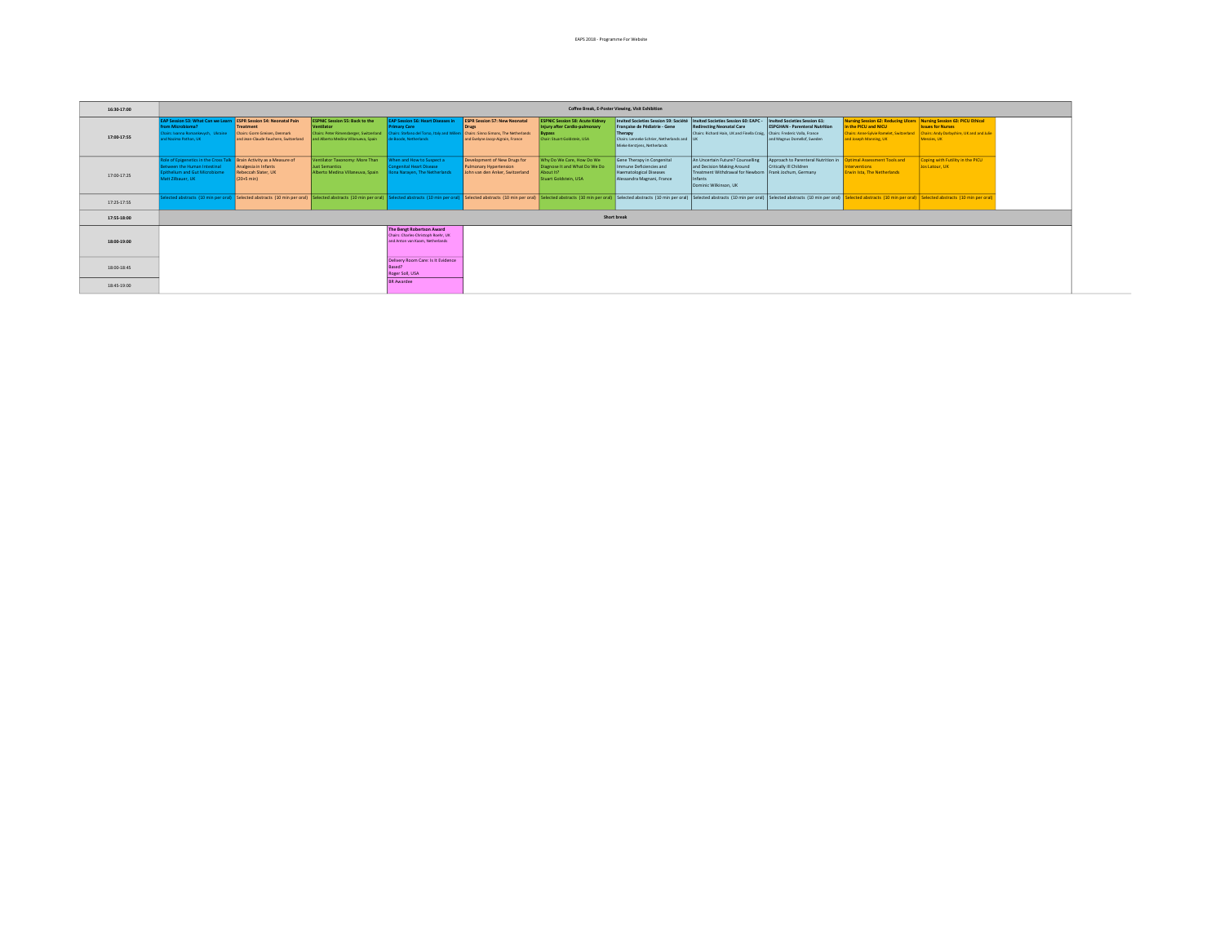| 16:30-17:00 |                                                                                                                                                             |                                                                                     |                                                                                             |                                                                                                                                                                                                                           |                                                                                           |                                                                                                                          | Coffee Break, E-Poster Viewing, Visit Exhibition                                                                                                                                                        |                                                                                                                                                              |                                                                                                       |                                                                                                                                                                    |                                                                                                                                                                                                                                |
|-------------|-------------------------------------------------------------------------------------------------------------------------------------------------------------|-------------------------------------------------------------------------------------|---------------------------------------------------------------------------------------------|---------------------------------------------------------------------------------------------------------------------------------------------------------------------------------------------------------------------------|-------------------------------------------------------------------------------------------|--------------------------------------------------------------------------------------------------------------------------|---------------------------------------------------------------------------------------------------------------------------------------------------------------------------------------------------------|--------------------------------------------------------------------------------------------------------------------------------------------------------------|-------------------------------------------------------------------------------------------------------|--------------------------------------------------------------------------------------------------------------------------------------------------------------------|--------------------------------------------------------------------------------------------------------------------------------------------------------------------------------------------------------------------------------|
| 17:00-17:55 | <b>EAP Session 53: What Can we Learn ESPR Session 54: Neonatal Pain</b><br>from Microbioma?<br>Chairs: Ivanna Romankevych, Ukraine<br>ind Nazima Pathan, UK | Treatment<br>Chairs: Gorm Greisen, Denmark<br>and Jean-Claude Fauchere, Switzerland | <b>ESPNIC Session 55: Back to the</b><br>Ventilator<br>and Alberto Medina Villanueva, Spain | <b>EAP Session 56: Heart Diseases in</b><br><b>Primary Care</b><br>Chairs: Peter Rimensberger, Switzerland   Chairs: Stefano del Torso, Italy and Willem   Chairs: Sinno Simons, The Netherlands<br>de Boode, Netherlands | <b>ESPR Session 57: New Neonatal</b><br>and Evelyne Jacqz-Aigrain, France                 | <b>ESPNIC Session 58: Acute Kidney</b><br>Injury after Cardio-pulmonary<br><b>Bypass</b><br>Chair: Stuart Goldstein, USA | Invited Societies Session 59: Société   Invited Societies Session 60: EAPC -<br>Française de Pédiatrie - Gene<br>Therapy<br>Chairs: Lenneke Schrier, Netherlands and UK<br>Mieke Kerstiens, Netherlands | <b>Redirecting Neonatal Care</b><br>Chairs: Richard Hain, UK and Finella Craig. Chairs: Frederic Valla, France                                               | Invited Societies Session 61:<br><b>ESPGHAN - Parenteral Nutrition</b><br>and Magnus Domellof, Sweden | Nursing Session 62: Reducing Ulcers Nursing Session 63: PICU Ethical<br>in the PICU and NICU<br>Chairs: Anne-Sylvie Ramelet, Switzerland<br>and Joseph Manning, UK | <b>Issues for Nurses</b><br>Chairs: Andy Darbyshire, UK and and Julie<br>Menzies, UK                                                                                                                                           |
| 17:00-17:25 | Role of Epigenetics in the Cross Talk   Brain Activity as a Measure of<br>Between the Human Intestinal<br>pithelium and Gut Microbiome<br>Matt Zilbauer, UK | Analgesia in Infants<br>Rebeccah Slater, UK<br>$(20+5 \text{ min})$                 | Ventilator Taxonomy: More Than<br>Just Semantics<br>Alberto Medina Villaneuva, Spain        | When and How to Suspect a<br><b>Congenital Heart Disease</b><br><b>Ilona Narayen, The Netherlands</b>                                                                                                                     | Development of New Drugs for<br>Pulmonary Hypertension<br>John van den Anker, Switzerland | Why Do We Care, How Do We<br>Diagnose It and What Do We Do<br>About It?<br>Stuart Goldstein, USA                         | Gene Therapy in Congenital<br>Immune Deficiencies and<br><b>Haematological Diseases</b><br>Alessandra Magnani, France                                                                                   | An Uncertain Future? Counselling<br>and Decision Making Around<br>Treatment Withdrawal for Newborn Frank Jochum, Germany<br>Infants<br>Dominic Wilkinson, UK | Approach to Parenteral Nutrition in <b>Optimal Assessment Tools and</b><br>Critically III Children    | Interventions<br><b>Erwin Ista. The Netherlands</b>                                                                                                                | Coping with Futility in the PICU<br>Jos Latour, UK                                                                                                                                                                             |
| 17:25-17:55 |                                                                                                                                                             |                                                                                     |                                                                                             |                                                                                                                                                                                                                           |                                                                                           |                                                                                                                          |                                                                                                                                                                                                         |                                                                                                                                                              |                                                                                                       |                                                                                                                                                                    | elected abstracts [10 min per oral] Selected abstracts [10 min per oral] Selected abstracts [10 min per oral] Selected abstracts [10 min per oral] Selected abstracts [10 min per oral] Selected abstracts [10 min per oral] S |
| 17:55-18:00 | Short break                                                                                                                                                 |                                                                                     |                                                                                             |                                                                                                                                                                                                                           |                                                                                           |                                                                                                                          |                                                                                                                                                                                                         |                                                                                                                                                              |                                                                                                       |                                                                                                                                                                    |                                                                                                                                                                                                                                |
| 18:00-19:00 |                                                                                                                                                             |                                                                                     |                                                                                             | The Bengt Robertson Award<br>Chairs: Charles-Christoph Roehr, UK<br>and Anton van Kaam, Netherlands                                                                                                                       |                                                                                           |                                                                                                                          |                                                                                                                                                                                                         |                                                                                                                                                              |                                                                                                       |                                                                                                                                                                    |                                                                                                                                                                                                                                |
| 18:00-18:45 |                                                                                                                                                             |                                                                                     |                                                                                             | Delivery Room Care: Is It Evidence<br>Roger Soll, USA                                                                                                                                                                     |                                                                                           |                                                                                                                          |                                                                                                                                                                                                         |                                                                                                                                                              |                                                                                                       |                                                                                                                                                                    |                                                                                                                                                                                                                                |
| 18:45-19:00 |                                                                                                                                                             |                                                                                     |                                                                                             | <b>BR Awardee</b>                                                                                                                                                                                                         |                                                                                           |                                                                                                                          |                                                                                                                                                                                                         |                                                                                                                                                              |                                                                                                       |                                                                                                                                                                    |                                                                                                                                                                                                                                |